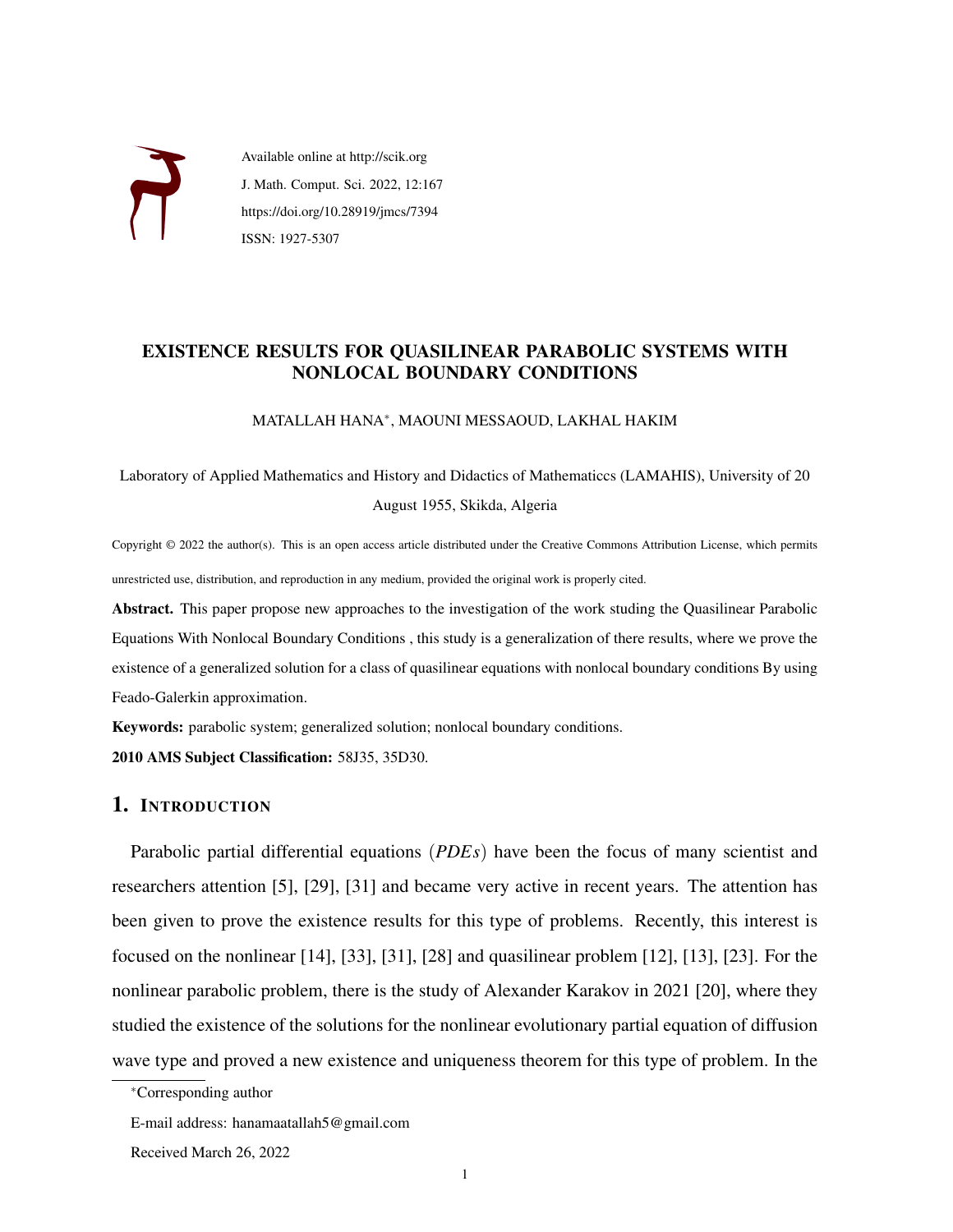

Available online at http://scik.org J. Math. Comput. Sci. 2022, 12:167 https://doi.org/10.28919/jmcs/7394 ISSN: 1927-5307

# EXISTENCE RESULTS FOR QUASILINEAR PARABOLIC SYSTEMS WITH NONLOCAL BOUNDARY CONDITIONS

MATALLAH HANA<sup>∗</sup> , MAOUNI MESSAOUD, LAKHAL HAKIM

Laboratory of Applied Mathematics and History and Didactics of Mathematiccs (LAMAHIS), University of 20 August 1955, Skikda, Algeria

Copyright © 2022 the author(s). This is an open access article distributed under the Creative Commons Attribution License, which permits unrestricted use, distribution, and reproduction in any medium, provided the original work is properly cited.

Abstract. This paper propose new approaches to the investigation of the work studing the Quasilinear Parabolic Equations With Nonlocal Boundary Conditions , this study is a generalization of there results, where we prove the existence of a generalized solution for a class of quasilinear equations with nonlocal boundary conditions By using Feado-Galerkin approximation.

Keywords: parabolic system; generalized solution; nonlocal boundary conditions.

2010 AMS Subject Classification: 58J35, 35D30.

# 1. INTRODUCTION

Parabolic partial differential equations (*PDEs*) have been the focus of many scientist and researchers attention [\[5\]](#page-16-0), [\[29\]](#page-17-0), [\[31\]](#page-17-1) and became very active in recent years. The attention has been given to prove the existence results for this type of problems. Recently, this interest is focused on the nonlinear [\[14\]](#page-16-1), [\[33\]](#page-18-0), [\[31\]](#page-17-1), [\[28\]](#page-17-2) and quasilinear problem [\[12\]](#page-16-2), [\[13\]](#page-16-3), [\[23\]](#page-17-3). For the nonlinear parabolic problem, there is the study of Alexander Karakov in 2021 [\[20\]](#page-17-4), where they studied the existence of the solutions for the nonlinear evolutionary partial equation of diffusion wave type and proved a new existence and uniqueness theorem for this type of problem. In the

<sup>∗</sup>Corresponding author

E-mail address: hanamaatallah5@gmail.com

Received March 26, 2022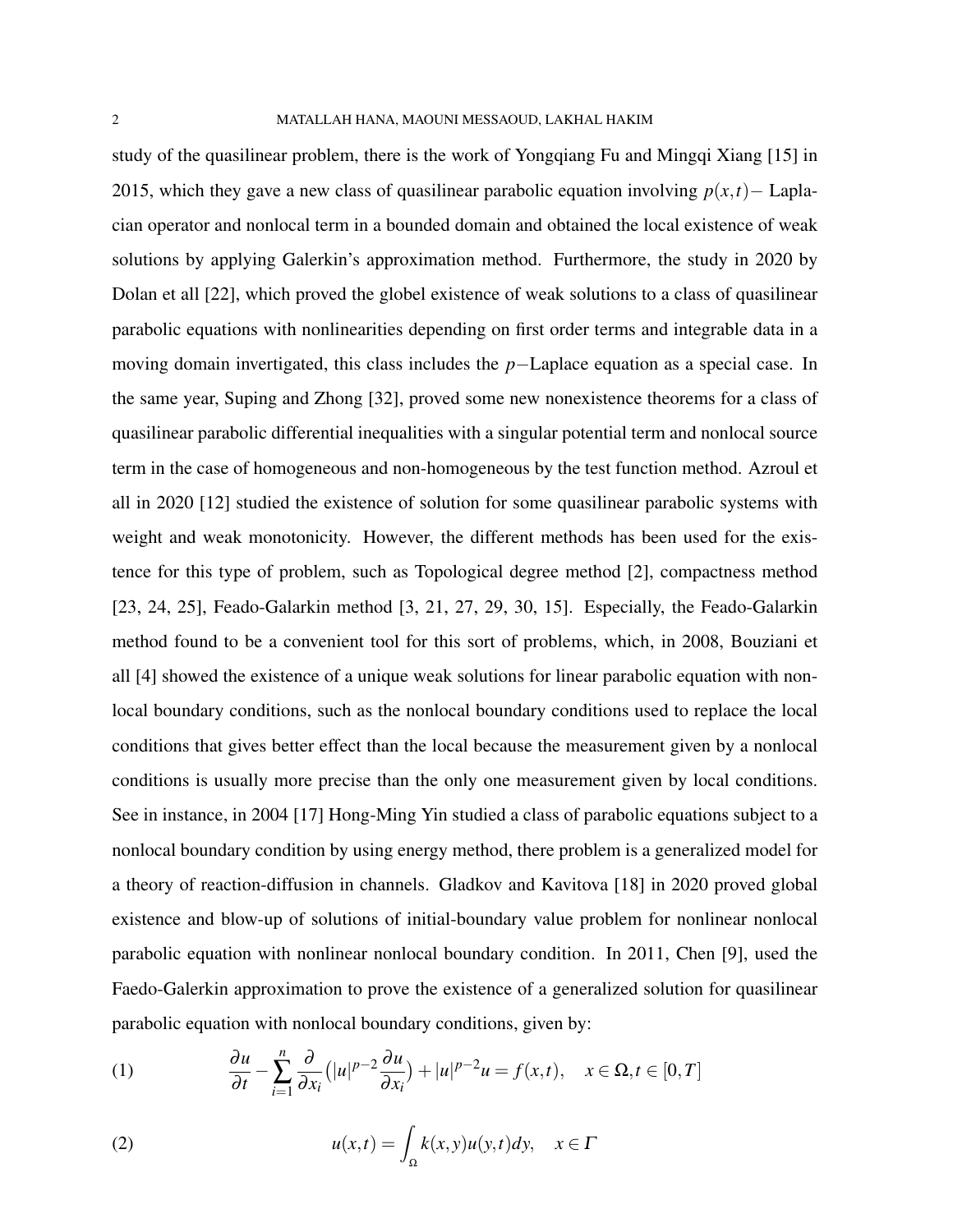study of the quasilinear problem, there is the work of Yongqiang Fu and Mingqi Xiang [\[15\]](#page-17-5) in 2015, which they gave a new class of quasilinear parabolic equation involving  $p(x,t)$  – Laplacian operator and nonlocal term in a bounded domain and obtained the local existence of weak solutions by applying Galerkin's approximation method. Furthermore, the study in 2020 by Dolan et all [\[22\]](#page-16-4), which proved the globel existence of weak solutions to a class of quasilinear parabolic equations with nonlinearities depending on first order terms and integrable data in a moving domain invertigated, this class includes the *p*−Laplace equation as a special case. In the same year, Suping and Zhong [\[32\]](#page-18-1), proved some new nonexistence theorems for a class of quasilinear parabolic differential inequalities with a singular potential term and nonlocal source term in the case of homogeneous and non-homogeneous by the test function method. Azroul et all in 2020 [\[12\]](#page-16-2) studied the existence of solution for some quasilinear parabolic systems with weight and weak monotonicity. However, the different methods has been used for the existence for this type of problem, such as Topological degree method [\[2\]](#page-16-5), compactness method [\[23,](#page-17-3) [24,](#page-17-6) [25\]](#page-17-7), Feado-Galarkin method [\[3,](#page-16-6) [21,](#page-17-8) [27,](#page-17-9) [29,](#page-17-0) [30,](#page-17-10) [15\]](#page-17-5). Especially, the Feado-Galarkin method found to be a convenient tool for this sort of problems, which, in 2008, Bouziani et all [\[4\]](#page-16-7) showed the existence of a unique weak solutions for linear parabolic equation with nonlocal boundary conditions, such as the nonlocal boundary conditions used to replace the local conditions that gives better effect than the local because the measurement given by a nonlocal conditions is usually more precise than the only one measurement given by local conditions. See in instance, in 2004 [\[17\]](#page-17-11) Hong-Ming Yin studied a class of parabolic equations subject to a nonlocal boundary condition by using energy method, there problem is a generalized model for a theory of reaction-diffusion in channels. Gladkov and Kavitova [\[18\]](#page-17-12) in 2020 proved global existence and blow-up of solutions of initial-boundary value problem for nonlinear nonlocal parabolic equation with nonlinear nonlocal boundary condition. In 2011, Chen [\[9\]](#page-16-8), used the Faedo-Galerkin approximation to prove the existence of a generalized solution for quasilinear parabolic equation with nonlocal boundary conditions, given by:

(1) 
$$
\frac{\partial u}{\partial t} - \sum_{i=1}^{n} \frac{\partial}{\partial x_i} (|u|^{p-2} \frac{\partial u}{\partial x_i}) + |u|^{p-2} u = f(x,t), \quad x \in \Omega, t \in [0,T]
$$

<span id="page-1-0"></span>(2) 
$$
u(x,t) = \int_{\Omega} k(x,y)u(y,t)dy, \quad x \in \Gamma
$$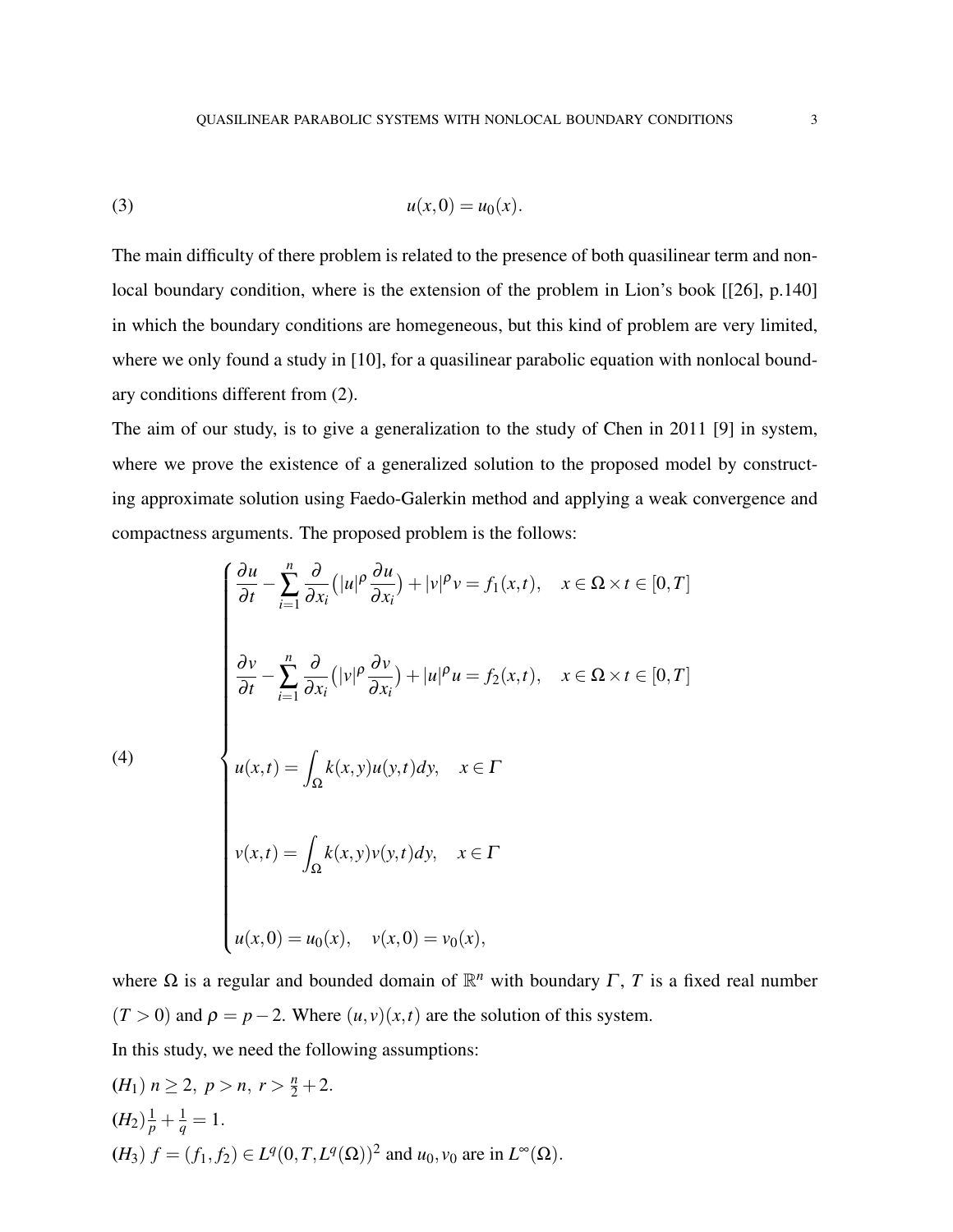(3) 
$$
u(x,0) = u_0(x).
$$

The main difficulty of there problem is related to the presence of both quasilinear term and nonlocal boundary condition, where is the extension of the problem in Lion's book [[\[26\]](#page-17-13), p.140] in which the boundary conditions are homegeneous, but this kind of problem are very limited, where we only found a study in [\[10\]](#page-16-9), for a quasilinear parabolic equation with nonlocal boundary conditions different from [\(2\)](#page-1-0).

The aim of our study, is to give a generalization to the study of Chen in 2011 [\[9\]](#page-16-8) in system, where we prove the existence of a generalized solution to the proposed model by constructing approximate solution using Faedo-Galerkin method and applying a weak convergence and compactness arguments. The proposed problem is the follows:

<span id="page-2-0"></span>(4)  
\n
$$
\begin{cases}\n\frac{\partial u}{\partial t} - \sum_{i=1}^{n} \frac{\partial}{\partial x_i} (|u|^{\rho} \frac{\partial u}{\partial x_i}) + |v|^{\rho} v = f_1(x, t), \quad x \in \Omega \times t \in [0, T] \\
\frac{\partial v}{\partial t} - \sum_{i=1}^{n} \frac{\partial}{\partial x_i} (|v|^{\rho} \frac{\partial v}{\partial x_i}) + |u|^{\rho} u = f_2(x, t), \quad x \in \Omega \times t \in [0, T] \\
u(x, t) = \int_{\Omega} k(x, y) u(y, t) dy, \quad x \in \Gamma \\
v(x, t) = \int_{\Omega} k(x, y) v(y, t) dy, \quad x \in \Gamma \\
u(x, 0) = u_0(x), \quad v(x, 0) = v_0(x),\n\end{cases}
$$

where  $\Omega$  is a regular and bounded domain of  $\mathbb{R}^n$  with boundary  $\Gamma$ ,  $T$  is a fixed real number  $(T > 0)$  and  $\rho = p - 2$ . Where  $(u, v)(x, t)$  are the solution of this system.

In this study, we need the following assumptions:

$$
(H_1) n \ge 2, p > n, r > \frac{n}{2} + 2.
$$
  
\n
$$
(H_2)\frac{1}{p} + \frac{1}{q} = 1.
$$
  
\n
$$
(H_3) f = (f_1, f_2) \in L^q(0, T, L^q(\Omega))^2 \text{ and } u_0, v_0 \text{ are in } L^{\infty}(\Omega).
$$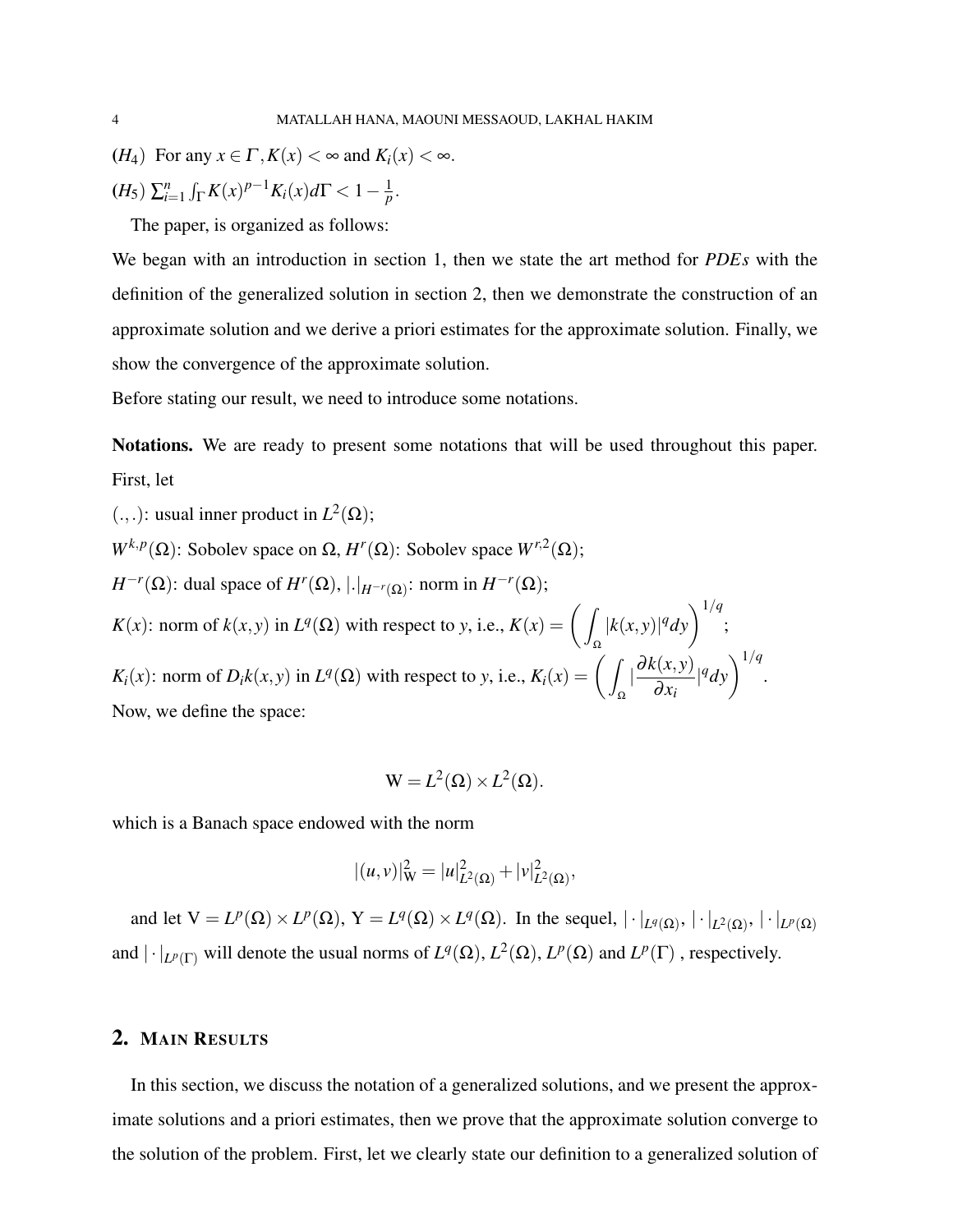(*H*<sub>4</sub>) For any  $x \in \Gamma$ ,  $K(x) < \infty$  and  $K_i(x) < \infty$ .

$$
(H_5) \sum_{i=1}^n \int_{\Gamma} K(x)^{p-1} K_i(x) d\Gamma < 1 - \frac{1}{p}.
$$

The paper, is organized as follows:

We began with an introduction in section 1, then we state the art method for *PDEs* with the definition of the generalized solution in section 2, then we demonstrate the construction of an approximate solution and we derive a priori estimates for the approximate solution. Finally, we show the convergence of the approximate solution.

Before stating our result, we need to introduce some notations.

Notations. We are ready to present some notations that will be used throughout this paper. First, let

(.,.): usual inner product in  $L^2(\Omega)$ ;

 $W^{k,p}(\Omega)$ : Sobolev space on  $\Omega$ ,  $H^r(\Omega)$ : Sobolev space  $W^{r,2}(\Omega)$ ;

*H*<sup>-*r*</sup>( $\Omega$ ): dual space of *H<sup>r</sup>*( $\Omega$ ), | $\cdot |_{H^{-r}(\Omega)}$ : norm in *H*<sup>-*r*</sup>( $\Omega$ ); *K*(*x*): norm of *k*(*x*, *y*) in *L*<sup>*q*</sup>( $\Omega$ ) with respect to *y*, i.e., *K*(*x*) =  $\left($ Ω  $|k(x,y)|^q dy$ <sup>1/*q*</sup>; *K*<sup>*i*</sup>(*x*): norm of *D*<sup>*i*</sup>*k*(*x*, *y*) in *L*<sup>*q*</sup>( $\Omega$ ) with respect to *y*, i.e., *K*<sup>*i*</sup>(*x*) =  $\left($  / Ω  $\frac{\partial k(x,y)}{\partial x}$  $\partial x_i$  $|q_{dy}\rangle^{1/q}$ . Now, we define the space:

$$
W = L^2(\Omega) \times L^2(\Omega).
$$

which is a Banach space endowed with the norm

$$
|(u,v)|_W^2 = |u|_{L^2(\Omega)}^2 + |v|_{L^2(\Omega)}^2,
$$

and let  $V = L^p(\Omega) \times L^p(\Omega)$ ,  $Y = L^q(\Omega) \times L^q(\Omega)$ . In the sequel,  $|\cdot|_{L^q(\Omega)}, |\cdot|_{L^2(\Omega)}, |\cdot|_{L^p(\Omega)}$ and  $|\cdot|_{L^p(\Gamma)}$  will denote the usual norms of  $L^q(\Omega)$ ,  $L^2(\Omega)$ ,  $L^p(\Omega)$  and  $L^p(\Gamma)$ , respectively.

### 2. MAIN RESULTS

In this section, we discuss the notation of a generalized solutions, and we present the approximate solutions and a priori estimates, then we prove that the approximate solution converge to the solution of the problem. First, let we clearly state our definition to a generalized solution of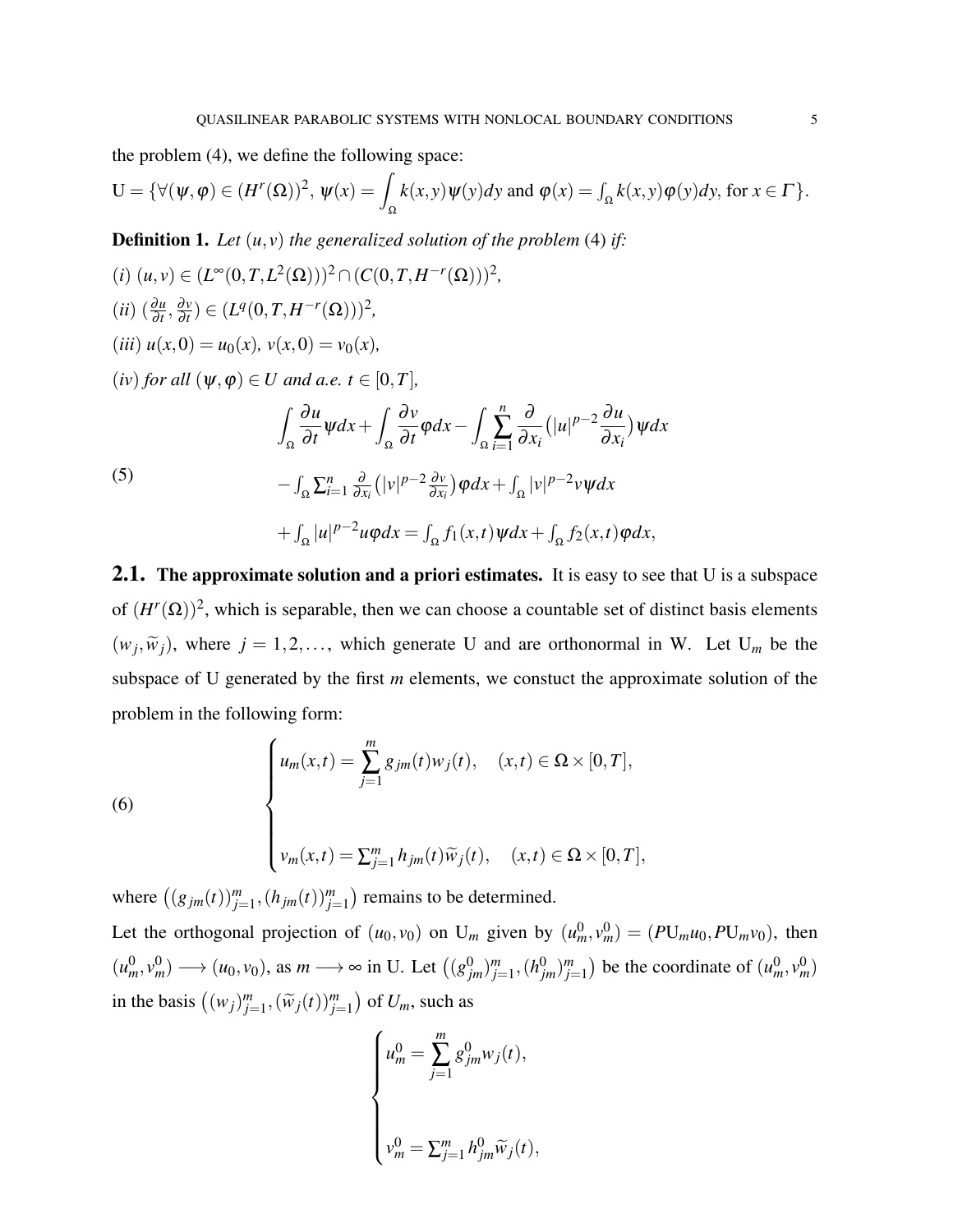the problem [\(4\)](#page-2-0), we define the following space:

$$
U = \{ \forall (\psi, \varphi) \in (H^r(\Omega))^2, \, \psi(x) = \int_{\Omega} k(x, y) \psi(y) dy \text{ and } \varphi(x) = \int_{\Omega} k(x, y) \varphi(y) dy, \text{ for } x \in \Gamma \}.
$$

<span id="page-4-0"></span>**Definition 1.** Let  $(u, v)$  the generalized solution of the problem [\(4\)](#page-2-0) if:

(i) 
$$
(u, v) \in (L^{\infty}(0, T, L^{2}(\Omega)))^{2} \cap (C(0, T, H^{-r}(\Omega)))^{2}
$$
,  
\n(ii)  $(\frac{\partial u}{\partial t}, \frac{\partial v}{\partial t}) \in (L^{q}(0, T, H^{-r}(\Omega)))^{2}$ ,  
\n(iii)  $u(x, 0) = u_{0}(x), v(x, 0) = v_{0}(x)$ ,  
\n(iv) for all  $(\psi, \varphi) \in U$  and a.e.  $t \in [0, T]$ ,  
\n
$$
\int_{\Omega} \frac{\partial u}{\partial t} \psi dx + \int_{\Omega} \frac{\partial v}{\partial t} \varphi dx - \int_{\Omega} \sum_{i=1}^{n} \frac{\partial}{\partial x_{i}} (|u|^{p-2} \frac{\partial u}{\partial x_{i}}) \psi dx
$$
\n(5)  
\n
$$
- \int_{\Omega} \sum_{i=1}^{n} \frac{\partial}{\partial x_{i}} (|v|^{p-2} \frac{\partial v}{\partial x_{i}}) \varphi dx + \int_{\Omega} |v|^{p-2} v \psi dx + \int_{\Omega} |u|^{p-2} u \varphi dx = \int_{\Omega} f_{1}(x, t) \psi dx + \int_{\Omega} f_{2}(x, t) \varphi dx,
$$

**2.1.** The approximate solution and a priori estimates. It is easy to see that U is a subspace of  $(H^r(\Omega))^2$ , which is separable, then we can choose a countable set of distinct basis elements  $(w_j, \widetilde{w}_j)$ , where  $j = 1, 2, \dots$ , which generate U and are orthonormal in W. Let U<sub>m</sub> be the subspace of U generated by the first *m* elements, we constuct the approximate solution of the problem in the following form:

<span id="page-4-1"></span>(6)  

$$
\begin{cases}\nu_m(x,t) = \sum_{j=1}^m g_{jm}(t)w_j(t), & (x,t) \in \Omega \times [0,T], \\
v_m(x,t) = \sum_{j=1}^m h_{jm}(t)\widetilde{w}_j(t), & (x,t) \in \Omega \times [0,T],\n\end{cases}
$$

where  $((g_{jm}(t))_{j=1}^m, (h_{jm}(t))_{j=1}^m)$  remains to be determined.

Let the orthogonal projection of  $(u_0, v_0)$  on  $U_m$  given by  $(u_m^0, v_m^0) = (PU_m u_0, PU_m v_0)$ , then  $(u_m^0, v_m^0) \longrightarrow (u_0, v_0)$ , as  $m \longrightarrow \infty$  in U. Let  $((g_{jm}^0)_{j=1}^m, (h_{jm}^0)_{j=1}^m)$  be the coordinate of  $(u_m^0, v_m^0)$ in the basis  $((w_j)_{j=1}^m, (\widetilde{w}_j(t))_{j=1}^m)$  of  $U_m$ , such as

$$
\begin{cases}\n u_m^0 = \sum_{j=1}^m g_{jm}^0 w_j(t), \\
 v_m^0 = \sum_{j=1}^m h_{jm}^0 \widetilde{w}_j(t),\n\end{cases}
$$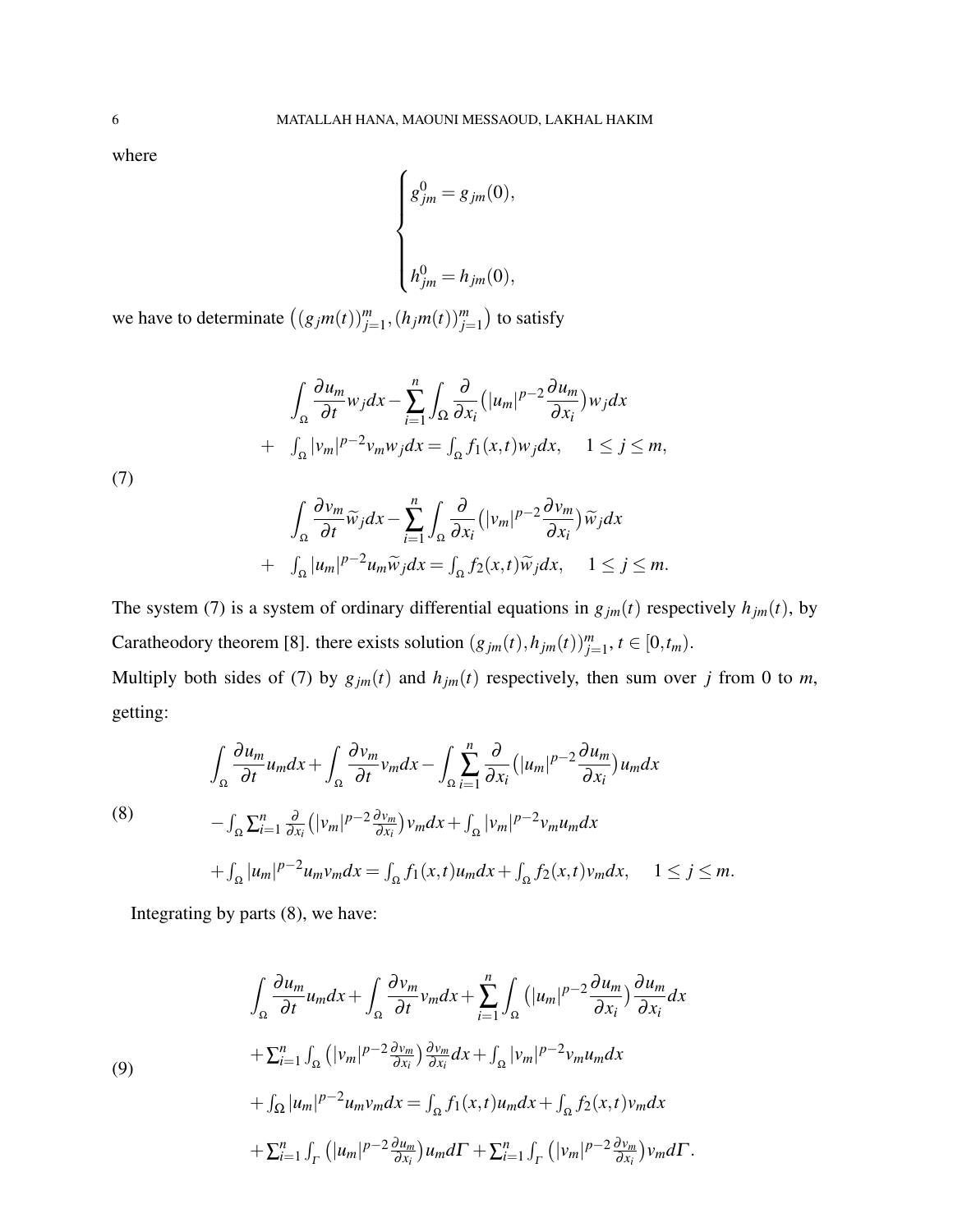where

<span id="page-5-1"></span>getting:

$$
\begin{cases}\ng_{jm}^{0} = g_{jm}(0), \\
h_{jm}^{0} = h_{jm}(0),\n\end{cases}
$$

<span id="page-5-0"></span>we have to determinate  $((g_jm(t))_{j=1}^m, (h_jm(t))_{j=1}^m)$  to satisfy

$$
\int_{\Omega} \frac{\partial u_m}{\partial t} w_j dx - \sum_{i=1}^n \int_{\Omega} \frac{\partial}{\partial x_i} (|u_m|^{p-2} \frac{\partial u_m}{\partial x_i}) w_j dx
$$
  
+ 
$$
\int_{\Omega} |v_m|^{p-2} v_m w_j dx = \int_{\Omega} f_1(x, t) w_j dx, \quad 1 \le j \le m,
$$
  
(7)

$$
\int_{\Omega} \frac{\partial v_m}{\partial t} \widetilde{w}_j dx - \sum_{i=1}^n \int_{\Omega} \frac{\partial}{\partial x_i} (|v_m|^{p-2} \frac{\partial v_m}{\partial x_i}) \widetilde{w}_j dx \n+ \int_{\Omega} |u_m|^{p-2} u_m \widetilde{w}_j dx = \int_{\Omega} f_2(x, t) \widetilde{w}_j dx, \quad 1 \le j \le m.
$$

The system [\(7\)](#page-5-0) is a system of ordinary differential equations in  $g_{jm}(t)$  respectively  $h_{jm}(t)$ , by Caratheodory theorem [\[8\]](#page-16-10). there exists solution  $(g_{jm}(t), h_{jm}(t))_{j=1}^{m}$ ,  $t \in [0, t_m)$ . Multiply both sides of [\(7\)](#page-5-0) by  $g_{jm}(t)$  and  $h_{jm}(t)$  respectively, then sum over *j* from 0 to *m*,

 $\leq m$ *.* 

(8)  
\n
$$
\int_{\Omega} \frac{\partial u_m}{\partial t} u_m dx + \int_{\Omega} \frac{\partial v_m}{\partial t} v_m dx - \int_{\Omega} \sum_{i=1}^n \frac{\partial}{\partial x_i} (|u_m|^{p-2} \frac{\partial u_m}{\partial x_i}) u_m dx
$$
\n
$$
- \int_{\Omega} \sum_{i=1}^n \frac{\partial}{\partial x_i} (|v_m|^{p-2} \frac{\partial v_m}{\partial x_i}) v_m dx + \int_{\Omega} |v_m|^{p-2} v_m u_m dx
$$
\n
$$
+ \int_{\Omega} |u_m|^{p-2} u_m v_m dx = \int_{\Omega} f_1(x, t) u_m dx + \int_{\Omega} f_2(x, t) v_m dx, \quad 1 \le j
$$

<span id="page-5-2"></span>Integrating by parts [\(8\)](#page-5-1), we have:

$$
\int_{\Omega} \frac{\partial u_m}{\partial t} u_m dx + \int_{\Omega} \frac{\partial v_m}{\partial t} v_m dx + \sum_{i=1}^n \int_{\Omega} (|u_m|^{p-2} \frac{\partial u_m}{\partial x_i}) \frac{\partial u_m}{\partial x_i} dx \n+ \sum_{i=1}^n \int_{\Omega} (|v_m|^{p-2} \frac{\partial v_m}{\partial x_i}) \frac{\partial v_m}{\partial x_i} dx + \int_{\Omega} |v_m|^{p-2} v_m u_m dx \n+ \int_{\Omega} |u_m|^{p-2} u_m v_m dx = \int_{\Omega} f_1(x, t) u_m dx + \int_{\Omega} f_2(x, t) v_m dx \n+ \sum_{i=1}^n \int_{\Gamma} (|u_m|^{p-2} \frac{\partial u_m}{\partial x_i}) u_m d\Gamma + \sum_{i=1}^n \int_{\Gamma} (|v_m|^{p-2} \frac{\partial v_m}{\partial x_i}) v_m d\Gamma.
$$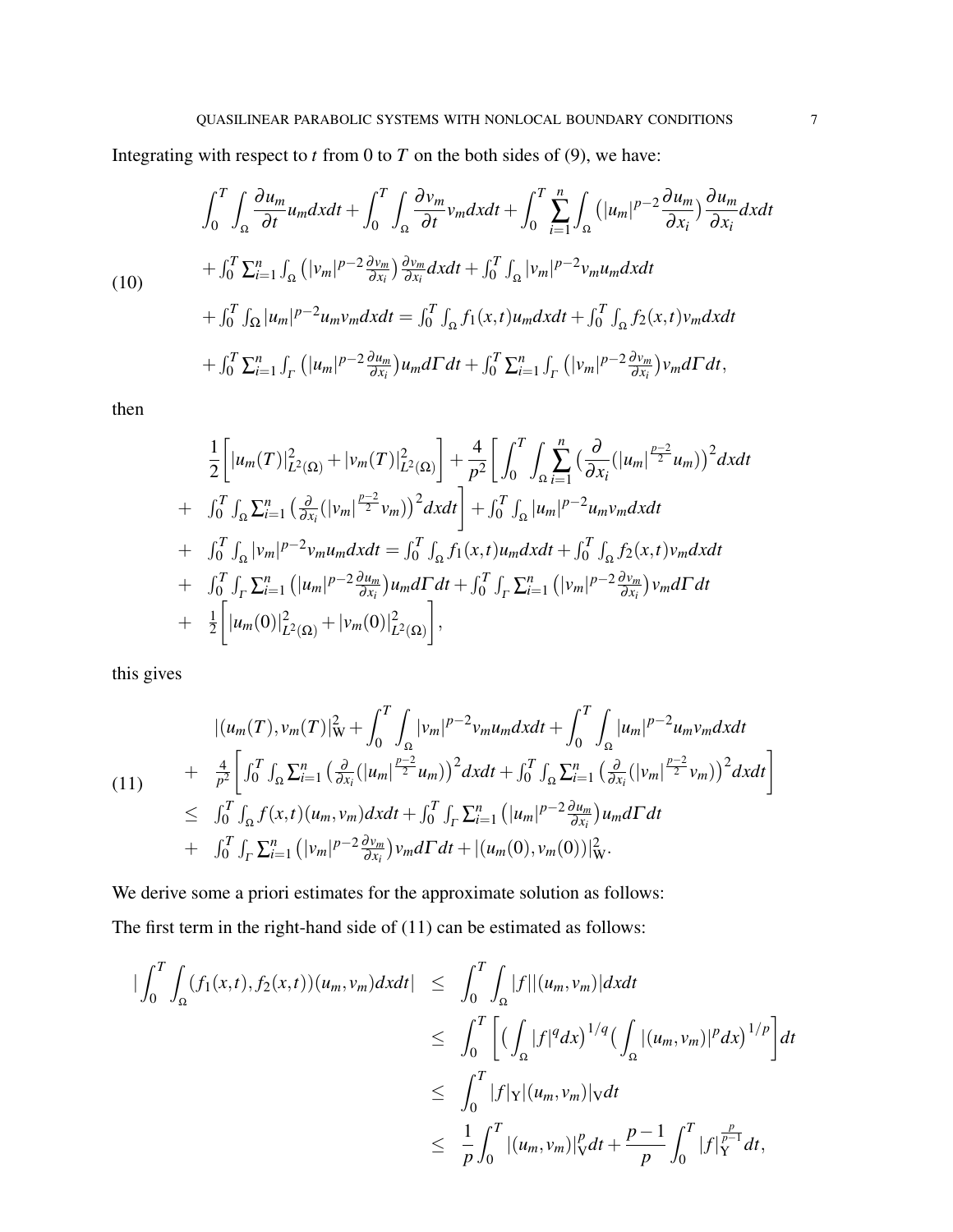Integrating with respect to  $t$  from 0 to  $T$  on the both sides of [\(9\)](#page-5-2), we have:

$$
\int_{0}^{T} \int_{\Omega} \frac{\partial u_{m}}{\partial t} u_{m} dx dt + \int_{0}^{T} \int_{\Omega} \frac{\partial v_{m}}{\partial t} v_{m} dx dt + \int_{0}^{T} \sum_{i=1}^{n} \int_{\Omega} (|u_{m}|^{p-2} \frac{\partial u_{m}}{\partial x_{i}}) \frac{\partial u_{m}}{\partial x_{i}} dx dt \n+ \int_{0}^{T} \sum_{i=1}^{n} \int_{\Omega} (|v_{m}|^{p-2} \frac{\partial v_{m}}{\partial x_{i}}) \frac{\partial v_{m}}{\partial x_{i}} dx dt + \int_{0}^{T} \int_{\Omega} |v_{m}|^{p-2} v_{m} u_{m} dx dt \n+ \int_{0}^{T} \int_{\Omega} |u_{m}|^{p-2} u_{m} v_{m} dx dt = \int_{0}^{T} \int_{\Omega} f_{1}(x, t) u_{m} dx dt + \int_{0}^{T} \int_{\Omega} f_{2}(x, t) v_{m} dx dt \n+ \int_{0}^{T} \sum_{i=1}^{n} \int_{\Gamma} (|u_{m}|^{p-2} \frac{\partial u_{m}}{\partial x_{i}}) u_{m} d\Gamma dt + \int_{0}^{T} \sum_{i=1}^{n} \int_{\Gamma} (|v_{m}|^{p-2} \frac{\partial v_{m}}{\partial x_{i}}) v_{m} d\Gamma dt,
$$

then

$$
\frac{1}{2}\left[|u_{m}(T)|_{L^{2}(\Omega)}^{2}+|v_{m}(T)|_{L^{2}(\Omega)}^{2}\right]+\frac{4}{p^{2}}\left[\int_{0}^{T}\int_{\Omega}\sum_{i=1}^{n}\left(\frac{\partial}{\partial x_{i}}(|u_{m}|^{\frac{p-2}{2}}u_{m})\right)^{2}dxdt\right] \n+ \int_{0}^{T}\int_{\Omega}\sum_{i=1}^{n}\left(\frac{\partial}{\partial x_{i}}(|v_{m}|^{\frac{p-2}{2}}v_{m})\right)^{2}dxdt + \int_{0}^{T}\int_{\Omega}|u_{m}|^{p-2}u_{m}v_{m}dxdt \n+ \int_{0}^{T}\int_{\Omega}|v_{m}|^{p-2}v_{m}u_{m}dxdt = \int_{0}^{T}\int_{\Omega}f_{1}(x,t)u_{m}dxdt + \int_{0}^{T}\int_{\Omega}f_{2}(x,t)v_{m}dxdt \n+ \int_{0}^{T}\int_{\Gamma}\sum_{i=1}^{n}\left(|u_{m}|^{p-2}\frac{\partial u_{m}}{\partial x_{i}})u_{m}d\Gamma dt + \int_{0}^{T}\int_{\Gamma}\sum_{i=1}^{n}\left(|v_{m}|^{p-2}\frac{\partial v_{m}}{\partial x_{i}})v_{m}d\Gamma dt \n+ \frac{1}{2}\left[|u_{m}(0)|_{L^{2}(\Omega)}^{2}+|v_{m}(0)|_{L^{2}(\Omega)}^{2}\right],
$$

<span id="page-6-0"></span>this gives

$$
\begin{split} |(u_{m}(T),v_{m}(T)|_{\mathbf{W}}^{2}+\int_{0}^{T}\int_{\Omega}|v_{m}|^{p-2}v_{m}u_{m}dxdt+\int_{0}^{T}\int_{\Omega}|u_{m}|^{p-2}u_{m}v_{m}dxdt\\ &+\frac{4}{p^{2}}\bigg[\int_{0}^{T}\int_{\Omega}\sum_{i=1}^{n}\big(\frac{\partial}{\partial x_{i}}(|u_{m}|^{\frac{p-2}{2}}u_{m})\big)^{2}dxdt+\int_{0}^{T}\int_{\Omega}\sum_{i=1}^{n}\big(\frac{\partial}{\partial x_{i}}(|v_{m}|^{\frac{p-2}{2}}v_{m})\big)^{2}dxdt\bigg] \\ &\leq \int_{0}^{T}\int_{\Omega}f(x,t)(u_{m},v_{m})dxdt+\int_{0}^{T}\int_{\Gamma}\sum_{i=1}^{n}\big(|u_{m}|^{p-2}\frac{\partial u_{m}}{\partial x_{i}}\big)u_{m}d\Gamma dt\\ &+\int_{0}^{T}\int_{\Gamma}\sum_{i=1}^{n}\big(|v_{m}|^{p-2}\frac{\partial v_{m}}{\partial x_{i}}\big)v_{m}d\Gamma dt+\big|(u_{m}(0),v_{m}(0))|_{\mathbf{W}}^{2}.\end{split}
$$

We derive some a priori estimates for the approximate solution as follows: The first term in the right-hand side of [\(11\)](#page-6-0) can be estimated as follows:

$$
\begin{split}\n|\int_{0}^{T} \int_{\Omega} (f_{1}(x,t), f_{2}(x,t))(u_{m}, v_{m}) dx dt| &\leq \int_{0}^{T} \int_{\Omega} |f| |(u_{m}, v_{m})| dx dt \\
&\leq \int_{0}^{T} \left[ \left( \int_{\Omega} |f|^{q} dx \right)^{1/q} \left( \int_{\Omega} |(u_{m}, v_{m})|^{p} dx \right)^{1/p} \right] dt \\
&\leq \int_{0}^{T} |f|_{Y} |(u_{m}, v_{m})|_{V} dt \\
&\leq \frac{1}{p} \int_{0}^{T} |(u_{m}, v_{m})|_{V}^{p} dt + \frac{p-1}{p} \int_{0}^{T} |f|_{Y}^{\frac{p}{p-1}} dt,\n\end{split}
$$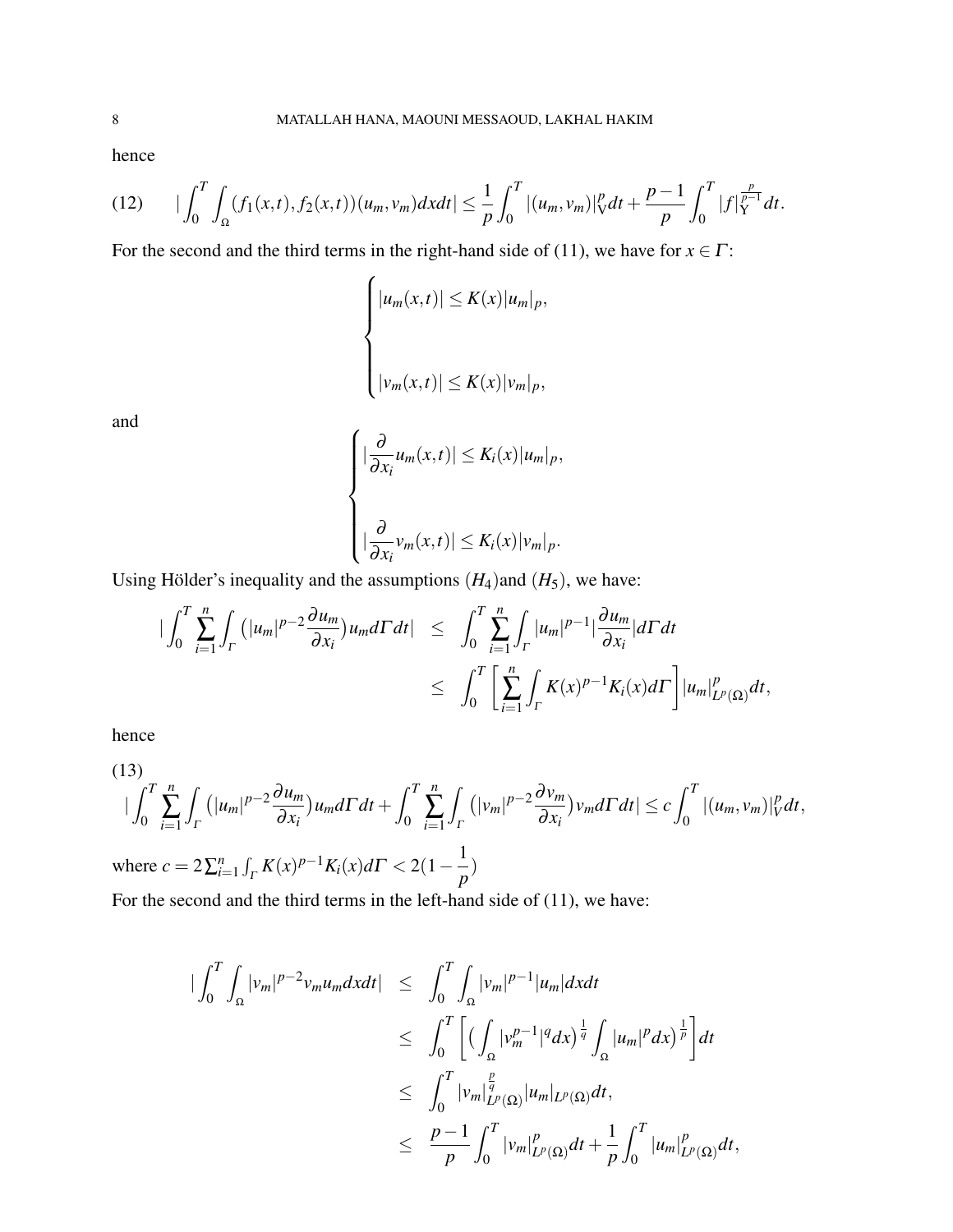<span id="page-7-0"></span>hence

$$
(12) \qquad \big|\int_0^T \int_{\Omega} (f_1(x,t), f_2(x,t))(u_m, v_m) dx dt\big| \leq \frac{1}{p} \int_0^T |(u_m, v_m)|_V^p dt + \frac{p-1}{p} \int_0^T |f|_Y^{\frac{p}{p-1}} dt.
$$

For the second and the third terms in the right-hand side of [\(11\)](#page-6-0), we have for  $x \in \Gamma$ :

$$
\begin{cases} |u_m(x,t)| \le K(x)|u_m|_p, \\ \\ |v_m(x,t)| \le K(x)|v_m|_p, \end{cases}
$$

and

$$
\begin{cases} |\frac{\partial}{\partial x_i} u_m(x,t)| \le K_i(x) |u_m|_p, \\ \left| \frac{\partial}{\partial x_i} v_m(x,t)| \le K_i(x) |v_m|_p. \end{cases}
$$

Using Hölder's inequality and the assumptions  $(H_4)$  and  $(H_5)$ , we have:

$$
\begin{array}{lcl} \big|\int_0^T \sum_{i=1}^n \int_{\Gamma} \big(|u_m|^{p-2} \frac{\partial u_m}{\partial x_i}\big) u_m d\Gamma dt \big| & \leq & \int_0^T \sum_{i=1}^n \int_{\Gamma} |u_m|^{p-1} \big| \frac{\partial u_m}{\partial x_i} \big| d\Gamma dt \\ & \leq & \int_0^T \bigg[ \sum_{i=1}^n \int_{\Gamma} K(x)^{p-1} K_i(x) d\Gamma \bigg] \big| u_m \big|_{L^p(\Omega)}^{p} dt, \end{array}
$$

<span id="page-7-1"></span>hence

(13)  
\n
$$
\left|\int_0^T \sum_{i=1}^n \int_{\Gamma} \left(|u_m|^{p-2} \frac{\partial u_m}{\partial x_i}\right) u_m d\Gamma dt + \int_0^T \sum_{i=1}^n \int_{\Gamma} \left(|v_m|^{p-2} \frac{\partial v_m}{\partial x_i}\right) v_m d\Gamma dt\right| \leq c \int_0^T |(u_m, v_m)|_V^p dt,
$$
\nwhere  $c = 2 \sum_{i=1}^n \int_{\Gamma} \left(|V_{\Gamma}|^{p-2} \frac{\partial u_m}{\partial x_i}\right) u_m d\Gamma dt$ 

where  $c = 2\sum_{i=1}^{n} \int_{\Gamma} K(x)^{p-1} K_i(x) d\Gamma < 2(1 - \frac{1}{n})$ *p* )

For the second and the third terms in the left-hand side of [\(11\)](#page-6-0), we have:

$$
\begin{array}{lcl} \|\int_0^T\int_\Omega |v_m|^{p-2}v_mu_m dxdt & \leq & \int_0^T\int_\Omega |v_m|^{p-1}|u_m| dxdt \\ & \leq & \int_0^T\Big[\Big(\int_\Omega |v_m^{p-1}|^q dx\Big)^{\frac{1}{q}}\int_\Omega |u_m|^p dx\Big)^{\frac{1}{p}}\Big]dt \\ & \leq & \int_0^T|v_m|_{L^p(\Omega)}^{\frac{p}{q}}|u_m|_{L^p(\Omega)}dt, \\ & \leq & \frac{p-1}{p}\int_0^T|v_m|_{L^p(\Omega)}^p dt+\frac{1}{p}\int_0^T|u_m|_{L^p(\Omega)}^p dt, \end{array}
$$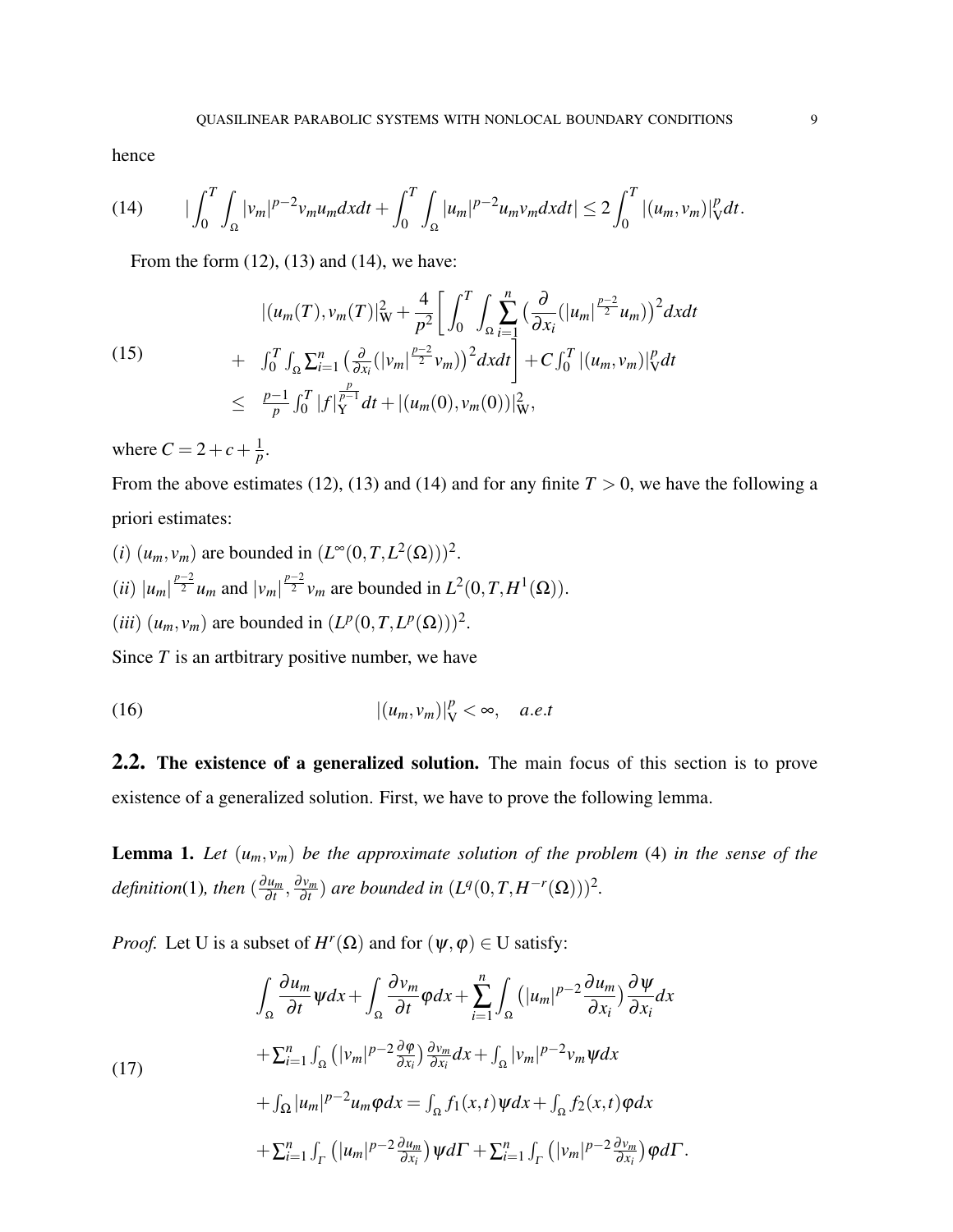<span id="page-8-0"></span>hence

(14) 
$$
|\int_0^T \int_{\Omega} |v_m|^{p-2} v_m u_m dx dt + \int_0^T \int_{\Omega} |u_m|^{p-2} u_m v_m dx dt| \leq 2 \int_0^T |(u_m, v_m)|^p_V dt.
$$

From the form  $(12)$ ,  $(13)$  and  $(14)$ , we have:

(15) 
$$
\begin{split} |(u_m(T), v_m(T)|_{\mathbf{W}}^2 + \frac{4}{p^2} \bigg[ \int_0^T \int_{\Omega} \sum_{i=1}^n \big( \frac{\partial}{\partial x_i} (|u_m|^{\frac{p-2}{2}} u_m) \big)^2 dx dt \\ &+ \int_0^T \int_{\Omega} \sum_{i=1}^n \big( \frac{\partial}{\partial x_i} (|v_m|^{\frac{p-2}{2}} v_m) \big)^2 dx dt \bigg] + C \int_0^T |(u_m, v_m)|_V^p dt \\ &\leq \frac{p-1}{p} \int_0^T |f|_Y^{\frac{p}{p-1}} dt + |(u_m(0), v_m(0))|_W^2, \end{split}
$$

where  $C = 2 + c + \frac{1}{n}$  $\frac{1}{p}$ .

From the above estimates [\(12\)](#page-7-0), [\(13\)](#page-7-1) and [\(14\)](#page-8-0) and for any finite  $T > 0$ , we have the following a priori estimates:

(*i*)  $(u_m, v_m)$  are bounded in  $(L^{\infty}(0,T,L^2(\Omega)))^2$ .  $(iii)$   $|u_m|^{\frac{p-2}{2}}u_m$  and  $|v_m|^{\frac{p-2}{2}}v_m$  are bounded in  $L^2(0,T,H^1(\Omega))$ . (*iii*)  $(u_m, v_m)$  are bounded in  $(L^p(0, T, L^p(\Omega)))^2$ .

Since *T* is an artbitrary positive number, we have

$$
|(u_m, v_m)|_V^p < \infty, \quad a.e.t
$$

2.2. The existence of a generalized solution. The main focus of this section is to prove existence of a generalized solution. First, we have to prove the following lemma.

<span id="page-8-2"></span>**Lemma 1.** Let  $(u_m, v_m)$  be the approximate solution of the problem [\(4\)](#page-2-0) in the sense of the *definition*[\(1\)](#page-4-0)*, then* ( ∂*um*  $\frac{\partial u_m}{\partial t}, \frac{\partial v_m}{\partial t}$  $\frac{\partial v_m}{\partial t}$  are bounded in  $(L^q(0,T,H^{-r}(\Omega)))^2$ .

<span id="page-8-1"></span>*Proof.* Let U is a subset of  $H^r(\Omega)$  and for  $(\psi, \varphi) \in U$  satisfy:

$$
\int_{\Omega} \frac{\partial u_m}{\partial t} \psi dx + \int_{\Omega} \frac{\partial v_m}{\partial t} \varphi dx + \sum_{i=1}^n \int_{\Omega} \left( |u_m|^{p-2} \frac{\partial u_m}{\partial x_i} \right) \frac{\partial \psi}{\partial x_i} dx \n+ \sum_{i=1}^n \int_{\Omega} \left( |v_m|^{p-2} \frac{\partial \varphi}{\partial x_i} \right) \frac{\partial v_m}{\partial x_i} dx + \int_{\Omega} |v_m|^{p-2} v_m \psi dx \n+ \int_{\Omega} |u_m|^{p-2} u_m \varphi dx = \int_{\Omega} f_1(x, t) \psi dx + \int_{\Omega} f_2(x, t) \varphi dx \n+ \sum_{i=1}^n \int_{\Gamma} \left( |u_m|^{p-2} \frac{\partial u_m}{\partial x_i} \right) \psi d\Gamma + \sum_{i=1}^n \int_{\Gamma} \left( |v_m|^{p-2} \frac{\partial v_m}{\partial x_i} \right) \varphi d\Gamma.
$$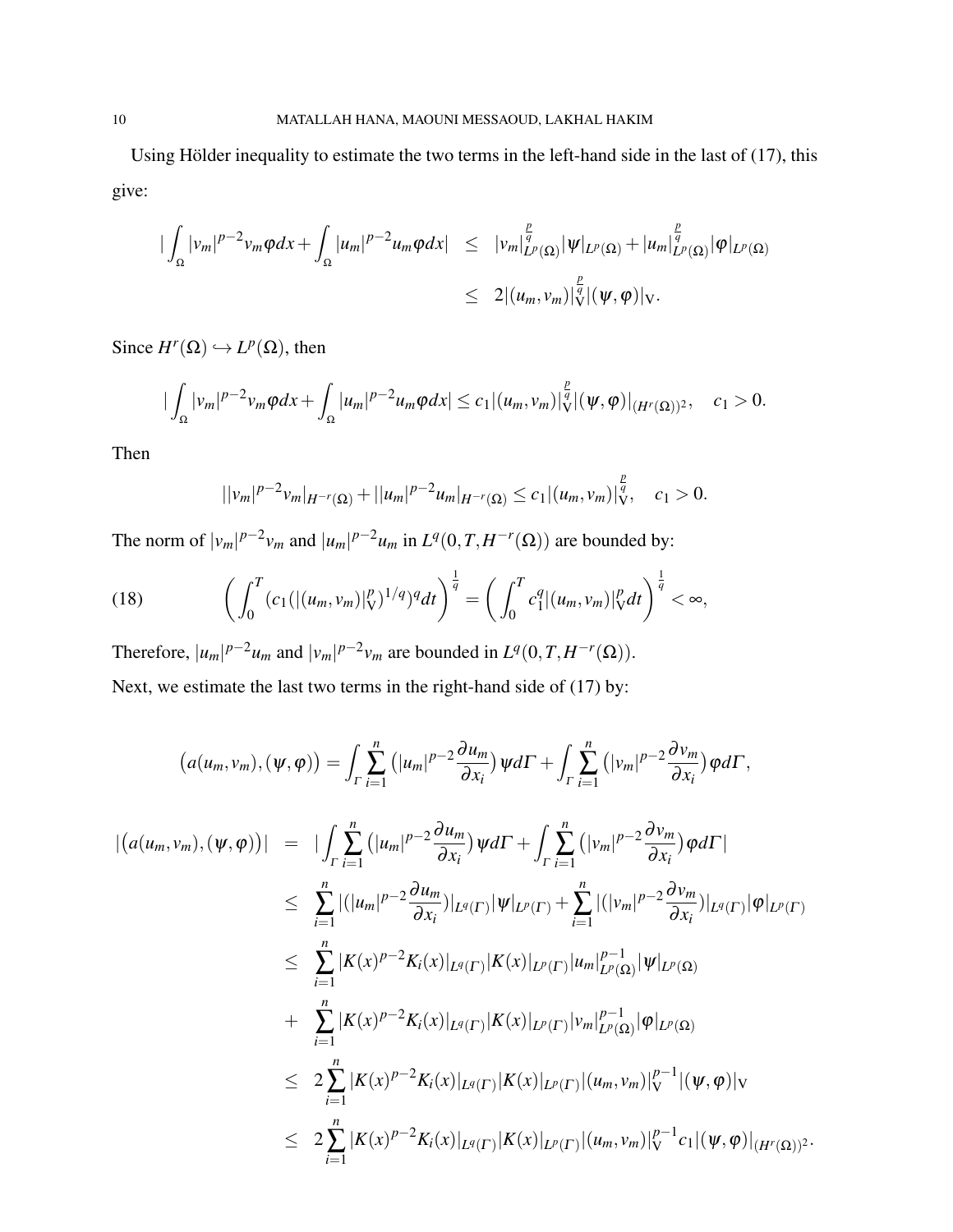Using Hölder inequality to estimate the two terms in the left-hand side in the last of  $(17)$ , this give:

$$
\begin{array}{lcl}\n|\int_{\Omega}|v_{m}|^{p-2}v_{m}\varphi dx + \int_{\Omega}|u_{m}|^{p-2}u_{m}\varphi dx| & \leq & \left|v_{m}\right|_{L^{p}(\Omega)}^{p}|\psi|_{L^{p}(\Omega)} + |u_{m}|_{L^{p}(\Omega)}^{p}|\varphi|_{L^{p}(\Omega)}\n\end{array}
$$
\n
$$
\leq & 2|(u_{m},v_{m})|_{V}^{\frac{p}{q}}|(\psi,\varphi)|_{V}.
$$

Since  $H^r(\Omega) \hookrightarrow L^p(\Omega)$ , then

$$
\big|\int_{\Omega}|v_m|^{p-2}v_m\varphi dx+\int_{\Omega}|u_m|^{p-2}u_m\varphi dx\big|\leq c_1|(u_m,v_m)|_{\mathcal{V}}^{\frac{p}{q}}|(\psi,\varphi)|_{(H^r(\Omega))^2},\quad c_1>0.
$$

Then

<span id="page-9-0"></span>
$$
||v_m|^{p-2}v_m|_{H^{-r}(\Omega)}+||u_m|^{p-2}u_m|_{H^{-r}(\Omega)}\leq c_1|(u_m,v_m)|_{V}^{\frac{p}{q}},\quad c_1>0.
$$

The norm of  $|v_m|^{p-2}v_m$  and  $|u_m|^{p-2}u_m$  in  $L^q(0,T,H^{-r}(\Omega))$  are bounded by:

(18) 
$$
\left(\int_0^T (c_1(|(u_m,v_m)|_V^p)^{1/q})^q dt\right)^{\frac{1}{q}} = \left(\int_0^T c_1^q |(u_m,v_m)|_V^p dt\right)^{\frac{1}{q}} < \infty,
$$

Therefore,  $|u_m|^{p-2}u_m$  and  $|v_m|^{p-2}v_m$  are bounded in  $L^q(0,T,H^{-r}(\Omega))$ .

Next, we estimate the last two terms in the right-hand side of [\(17\)](#page-8-1) by:

$$
(a(u_m, v_m), (\psi, \varphi)) = \int_{\Gamma} \sum_{i=1}^n (|u_m|^{p-2} \frac{\partial u_m}{\partial x_i}) \psi d\Gamma + \int_{\Gamma} \sum_{i=1}^n (|v_m|^{p-2} \frac{\partial v_m}{\partial x_i}) \varphi d\Gamma,
$$
  
\n
$$
|(a(u_m, v_m), (\psi, \varphi))| = |\int_{\Gamma} \sum_{i=1}^n (|u_m|^{p-2} \frac{\partial u_m}{\partial x_i}) \psi d\Gamma + \int_{\Gamma} \sum_{i=1}^n (|v_m|^{p-2} \frac{\partial v_m}{\partial x_i}) \varphi d\Gamma|
$$
  
\n
$$
\leq \sum_{i=1}^n |(|u_m|^{p-2} \frac{\partial u_m}{\partial x_i})|_{L^q(\Gamma)} |\psi|_{L^p(\Gamma)} + \sum_{i=1}^n |(|v_m|^{p-2} \frac{\partial v_m}{\partial x_i})|_{L^q(\Gamma)} |\varphi|_{L^p(\Gamma)}
$$
  
\n
$$
\leq \sum_{i=1}^n |K(x)^{p-2} K_i(x)|_{L^q(\Gamma)} |K(x)|_{L^p(\Gamma)} |u_m|_{L^p(\Omega)}^{p-1} |\psi|_{L^p(\Omega)}
$$
  
\n
$$
+ \sum_{i=1}^n |K(x)^{p-2} K_i(x)|_{L^q(\Gamma)} |K(x)|_{L^p(\Gamma)} |v_m|_{L^p(\Omega)}^{p-1} |\varphi|_{L^p(\Omega)}
$$
  
\n
$$
\leq 2 \sum_{i=1}^n |K(x)^{p-2} K_i(x)|_{L^q(\Gamma)} |K(x)|_{L^p(\Gamma)} |(u_m, v_m)|_{V}^{p-1} |(v_m, \varphi)|_{(H^r(\Omega))^2}.
$$
  
\n
$$
\leq 2 \sum_{i=1}^n |K(x)^{p-2} K_i(x)|_{L^q(\Gamma)} |K(x)|_{L^p(\Gamma)} |(u_m, v_m)|_{V}^{p-1} c_1 |(v_m, \varphi)|_{(H^r(\Omega))^2}.
$$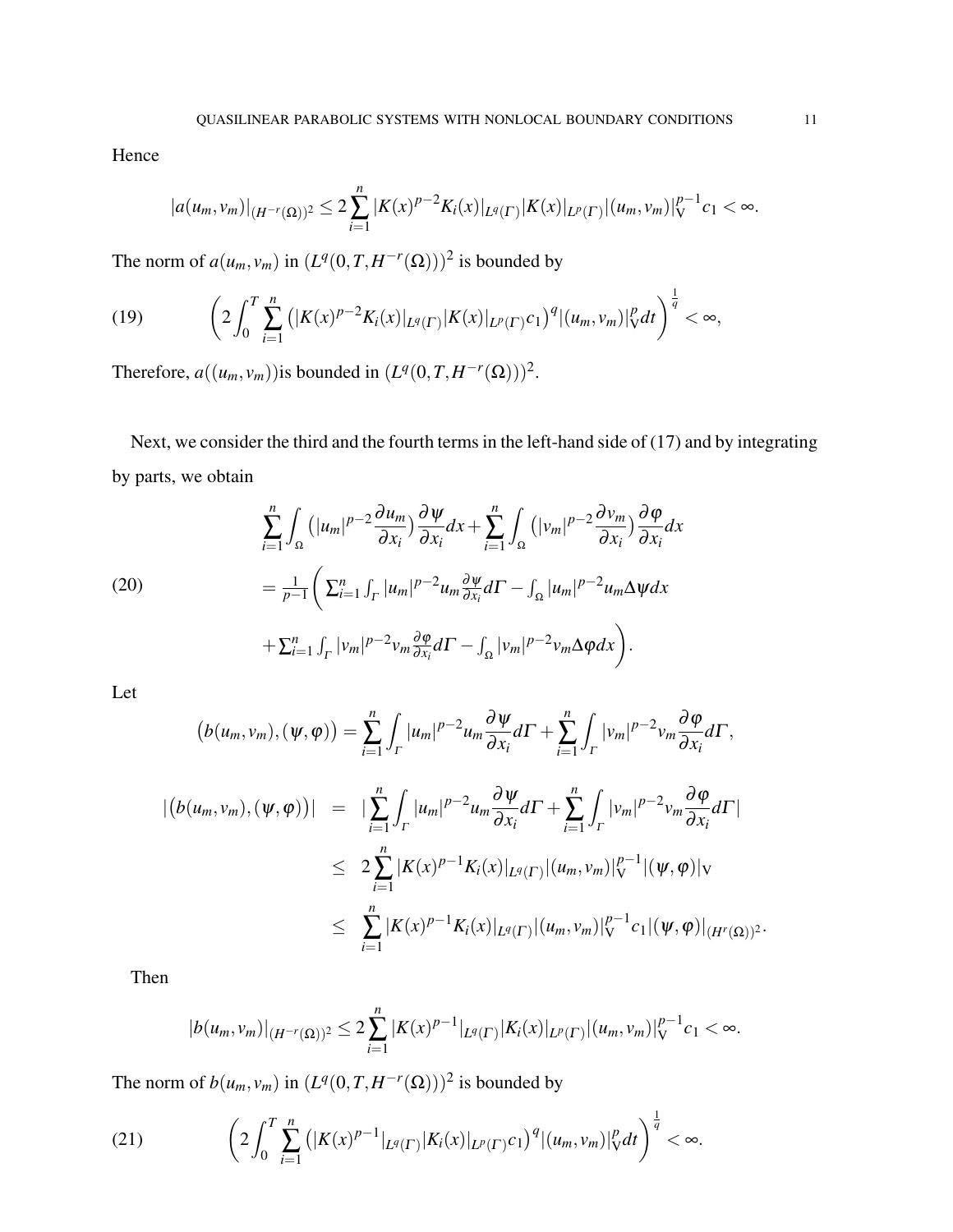Hence

<span id="page-10-0"></span>
$$
|a(u_m,v_m)|_{(H^{-r}(\Omega))^2}\leq 2\sum_{i=1}^n|K(x)^{p-2}K_i(x)|_{L^q(\Gamma)}|K(x)|_{L^p(\Gamma)}|(u_m,v_m)|_V^{p-1}c_1<\infty.
$$

The norm of  $a(u_m, v_m)$  in  $(L^q(0,T, H^{-r}(\Omega)))^2$  is bounded by

$$
(19) \qquad \left(2\int_0^T\sum_{i=1}^n\left(|K(x)^{p-2}K_i(x)|_{L^q(\Gamma)}|K(x)|_{L^p(\Gamma)}c_1\right)^q|(u_m,v_m)|_V^pdt\right)^{\frac{1}{q}}<\infty,
$$

Therefore,  $a((u_m, v_m))$  is bounded in  $(L^q(0,T, H^{-r}(\Omega)))^2$ .

<span id="page-10-2"></span>Next, we consider the third and the fourth terms in the left-hand side of [\(17\)](#page-8-1) and by integrating by parts, we obtain

(20)  
\n
$$
\sum_{i=1}^{n} \int_{\Omega} \left( |u_m|^{p-2} \frac{\partial u_m}{\partial x_i} \right) \frac{\partial \psi}{\partial x_i} dx + \sum_{i=1}^{n} \int_{\Omega} \left( |v_m|^{p-2} \frac{\partial v_m}{\partial x_i} \right) \frac{\partial \phi}{\partial x_i} dx
$$
\n
$$
= \frac{1}{p-1} \left( \sum_{i=1}^{n} \int_{\Gamma} |u_m|^{p-2} u_m \frac{\partial \psi}{\partial x_i} d\Gamma - \int_{\Omega} |u_m|^{p-2} u_m \Delta \psi dx \right.
$$
\n
$$
+ \sum_{i=1}^{n} \int_{\Gamma} |v_m|^{p-2} v_m \frac{\partial \phi}{\partial x_i} d\Gamma - \int_{\Omega} |v_m|^{p-2} v_m \Delta \phi dx \right).
$$

Let

$$
(b(u_m, v_m), (\psi, \varphi)) = \sum_{i=1}^n \int_{\Gamma} |u_m|^{p-2} u_m \frac{\partial \psi}{\partial x_i} d\Gamma + \sum_{i=1}^n \int_{\Gamma} |v_m|^{p-2} v_m \frac{\partial \varphi}{\partial x_i} d\Gamma,
$$
  

$$
| (b(u_m, v_m), (\psi, \varphi)) | = |\sum_{i=1}^n \int_{\Gamma} |u_m|^{p-2} u_m \frac{\partial \psi}{\partial x_i} d\Gamma + \sum_{i=1}^n \int_{\Gamma} |v_m|^{p-2} v_m \frac{\partial \varphi}{\partial x_i} d\Gamma |
$$
  

$$
\leq 2 \sum_{i=1}^n |K(x)^{p-1} K_i(x)|_{L^q(\Gamma)} | (u_m, v_m)|_{V}^{p-1} | (\psi, \varphi)|_{V}
$$
  

$$
\leq \sum_{i=1}^n |K(x)^{p-1} K_i(x)|_{L^q(\Gamma)} | (u_m, v_m)|_{V}^{p-1} c_1 | (\psi, \varphi)|_{(H^r(\Omega))^2}.
$$

Then

<span id="page-10-1"></span>
$$
|b(u_m, v_m)|_{(H^{-r}(\Omega))^2} \leq 2 \sum_{i=1}^n |K(x)^{p-1}|_{L^q(\Gamma)} |K_i(x)|_{L^p(\Gamma)} |(u_m, v_m)|_V^{p-1} c_1 < \infty.
$$

The norm of  $b(u_m, v_m)$  in  $(L^q(0,T, H^{-r}(\Omega)))^2$  is bounded by

(21) 
$$
\left(2\int_0^T \sum_{i=1}^n (|K(x)^{p-1}|_{L^q(\Gamma)}|K_i(x)|_{L^p(\Gamma)}c_1)^q |(u_m,v_m)|_V^p dt\right)^{\frac{1}{q}} < \infty.
$$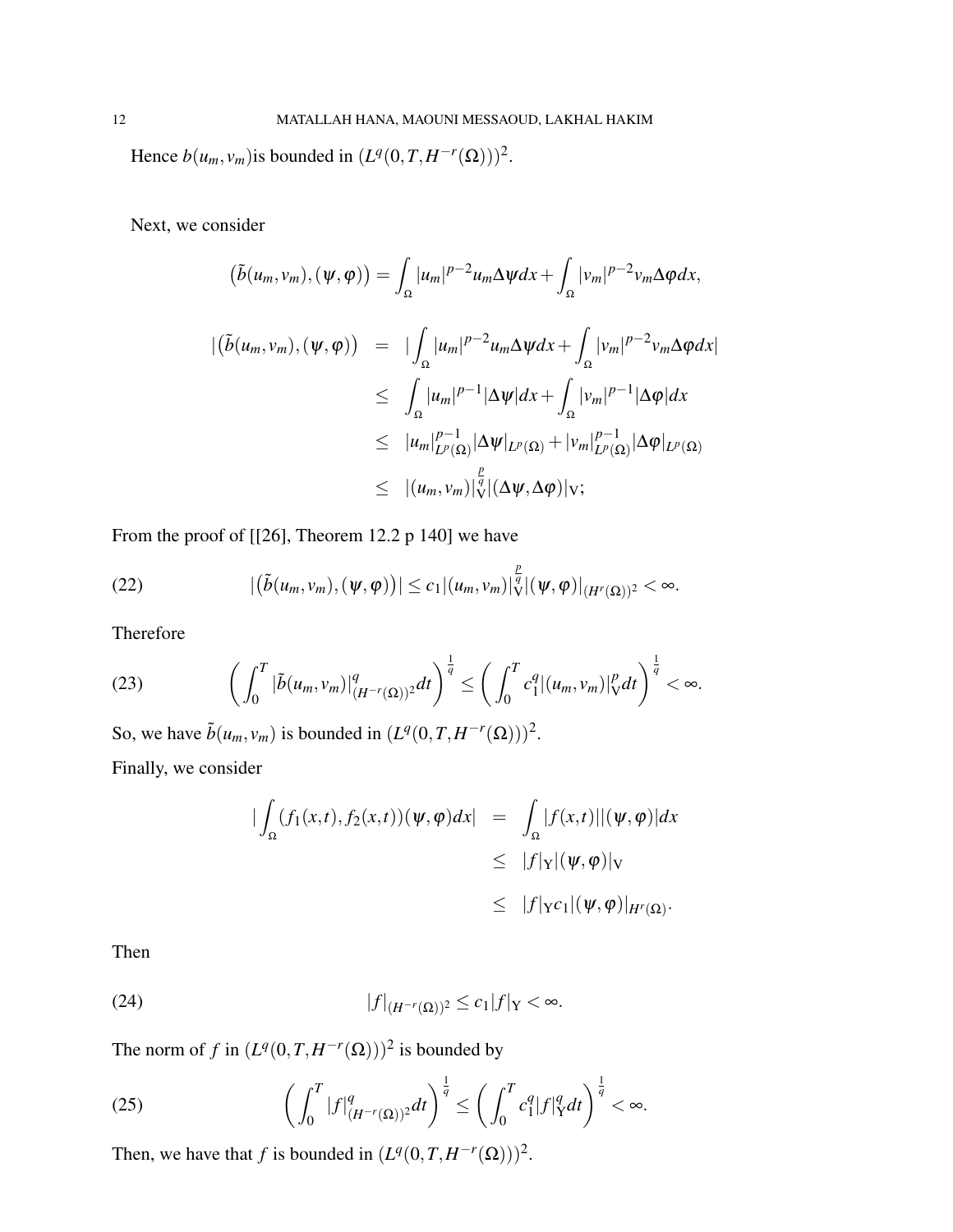Hence  $b(u_m, v_m)$  is bounded in  $(L^q(0,T, H^{-r}(\Omega)))^2$ .

Next, we consider

$$
(\tilde{b}(u_m, v_m), (\psi, \varphi)) = \int_{\Omega} |u_m|^{p-2} u_m \Delta \psi dx + \int_{\Omega} |v_m|^{p-2} v_m \Delta \varphi dx,
$$
  

$$
|(\tilde{b}(u_m, v_m), (\psi, \varphi)) = |\int_{\Omega} |u_m|^{p-2} u_m \Delta \psi dx + \int_{\Omega} |v_m|^{p-2} v_m \Delta \varphi dx|
$$
  

$$
\leq \int_{\Omega} |u_m|^{p-1} |\Delta \psi| dx + \int_{\Omega} |v_m|^{p-1} |\Delta \varphi| dx
$$
  

$$
\leq |u_m|_{L^p(\Omega)}^{p-1} |\Delta \psi|_{L^p(\Omega)} + |v_m|_{L^p(\Omega)}^{p-1} |\Delta \varphi|_{L^p(\Omega)}
$$
  

$$
\leq |(u_m, v_m)|_{\mathcal{V}}^{\frac{p}{q}} |(\Delta \psi, \Delta \varphi)|_{\mathcal{V}};
$$

From the proof of [[\[26\]](#page-17-13), Theorem 12.2 p 140] we have

(22) 
$$
|(\tilde{b}(u_m,v_m),(\psi,\varphi))| \leq c_1|(u_m,v_m)|_{\mathcal{V}}^{\frac{p}{q}}|(\psi,\varphi)|_{(H^r(\Omega))^2} < \infty.
$$

<span id="page-11-0"></span>Therefore

(23) 
$$
\left(\int_0^T |\tilde{b}(u_m, v_m)|^q_{(H^{-r}(\Omega))^2} dt\right)^{\frac{1}{q}} \leq \left(\int_0^T c_1^q |(u_m, v_m)|^p_V dt\right)^{\frac{1}{q}} < \infty.
$$

So, we have  $\tilde{b}(u_m, v_m)$  is bounded in  $(L^q(0,T,H^{-r}(\Omega)))^2$ .

Finally, we consider

<span id="page-11-1"></span>
$$
\begin{aligned}\n|\int_{\Omega} (f_1(x,t), f_2(x,t))(\psi, \varphi) dx| &= \int_{\Omega} |f(x,t)| |(\psi, \varphi)| dx \\
&\leq |f|_{\mathcal{Y}} |(\psi, \varphi)|_{\mathcal{V}} \\
&\leq |f|_{\mathcal{Y}} c_1 |(\psi, \varphi)|_{H^r(\Omega)}.\n\end{aligned}
$$

Then

(24) 
$$
|f|_{(H^{-r}(\Omega))^2} \leq c_1 |f|_Y < \infty.
$$

The norm of *f* in  $(L^q(0,T,H^{-r}(\Omega)))^2$  is bounded by

(25) 
$$
\left(\int_0^T |f|_{(H^{-r}(\Omega))^2}^q dt\right)^{\frac{1}{q}} \le \left(\int_0^T c_1^q |f|_Y^q dt\right)^{\frac{1}{q}} < \infty.
$$

Then, we have that *f* is bounded in  $(L^q(0,T,H^{-r}(\Omega)))^2$ .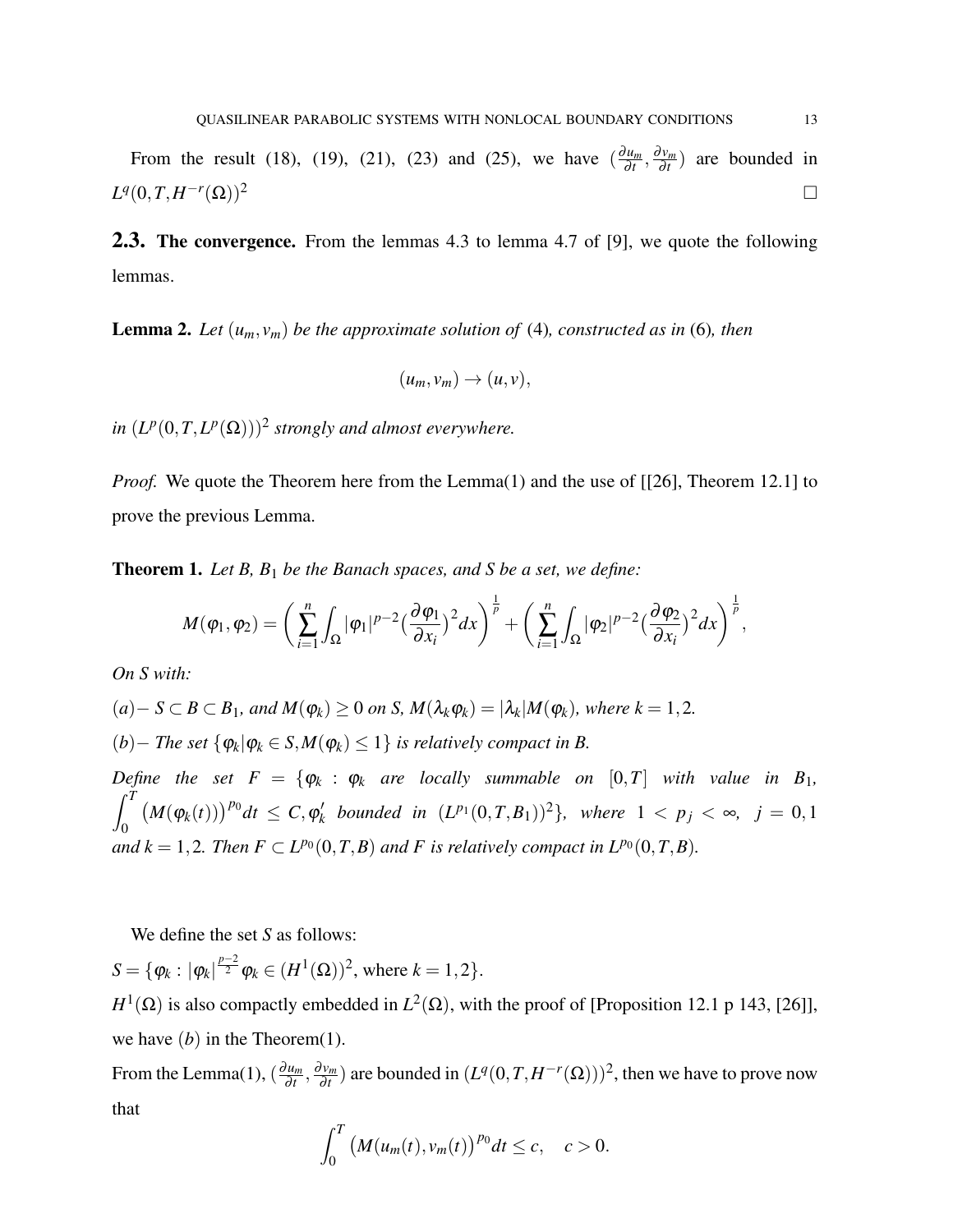From the result [\(18\)](#page-9-0), [\(19\)](#page-10-0), [\(21\)](#page-10-1), [\(23\)](#page-11-0) and [\(25\)](#page-11-1), we have  $\left(\frac{\partial u_m}{\partial t}\right)$  $\frac{\partial u_m}{\partial t}, \frac{\partial v_m}{\partial t}$  $\frac{dv_m}{dt}$ ) are bounded in  $L^q(0,T,H^{-r})$  $(\Omega))^2$ 

2.3. The convergence. From the lemmas 4.3 to lemma 4.7 of [\[9\]](#page-16-8), we quote the following lemmas.

<span id="page-12-1"></span>**Lemma 2.** Let  $(u_m, v_m)$  be the approximate solution of [\(4\)](#page-2-0), constructed as in [\(6\)](#page-4-1), then

$$
(u_m,v_m)\to (u,v),
$$

*in*  $(L^p(0,T,L^p(\Omega)))^2$  strongly and almost everywhere.

*Proof.* We quote the Theorem here from the Lemma[\(1\)](#page-8-2) and the use of [[\[26\]](#page-17-13), Theorem 12.1] to prove the previous Lemma.

<span id="page-12-0"></span>Theorem 1. *Let B, B*<sup>1</sup> *be the Banach spaces, and S be a set, we define:*

$$
M(\varphi_1, \varphi_2) = \bigg(\sum_{i=1}^n \int_{\Omega} |\varphi_1|^{p-2} \big(\frac{\partial \varphi_1}{\partial x_i}\big)^2 dx \bigg)^{\frac{1}{p}} + \bigg(\sum_{i=1}^n \int_{\Omega} |\varphi_2|^{p-2} \big(\frac{\partial \varphi_2}{\partial x_i}\big)^2 dx \bigg)^{\frac{1}{p}},
$$

*On S with:*

$$
(a) - S \subset B \subset B_1
$$
, and  $M(\varphi_k) \ge 0$  on S,  $M(\lambda_k \varphi_k) = |\lambda_k| M(\varphi_k)$ , where  $k = 1, 2$ .

 $(b)$  − *The set*  $\{\varphi_k | \varphi_k \in S, M(\varphi_k) \leq 1\}$  *is relatively compact in B.* 

*Define the set*  $F = \{\varphi_k : \varphi_k \text{ are locally summable on } [0,T] \text{ with value in } B_1,$  $\int_0^T$ 0  $(M(\varphi_k(t)))^{p_0}dt \leq C, \varphi'_k$  $h'_{k}$  bounded in  $(L^{p_1}(0,T,B_1))^2$ , where  $1 < p_j < \infty$ ,  $j = 0,1$ *and*  $k = 1, 2$ *. Then*  $F \subset L^{p_0}(0, T, B)$  *and*  $F$  *is relatively compact in*  $L^{p_0}(0, T, B)$ *.* 

We define the set *S* as follows:

 $S = \{ \varphi_k : |\varphi_k|^{\frac{p-2}{2}} \varphi_k \in (H^1(\Omega))^2, \text{ where } k = 1, 2 \}.$ 

 $H^1(\Omega)$  is also compactly embedded in  $L^2(\Omega)$ , with the proof of [Proposition 12.1 p 143, [\[26\]](#page-17-13)], we have  $(b)$  in the Theorem $(1)$ .

From the Lemma[\(1\)](#page-8-2),  $\left(\frac{\partial u_m}{\partial t}\right)$  $\frac{\partial u_m}{\partial t}, \frac{\partial v_m}{\partial t}$  $\frac{\partial v_m}{\partial t}$  ) are bounded in  $(L^q(0,T,H^{-r}(\Omega)))^2$ , then we have to prove now that

$$
\int_0^T \big(M(u_m(t),v_m(t)\big)^{p_0} dt \leq c, \quad c > 0.
$$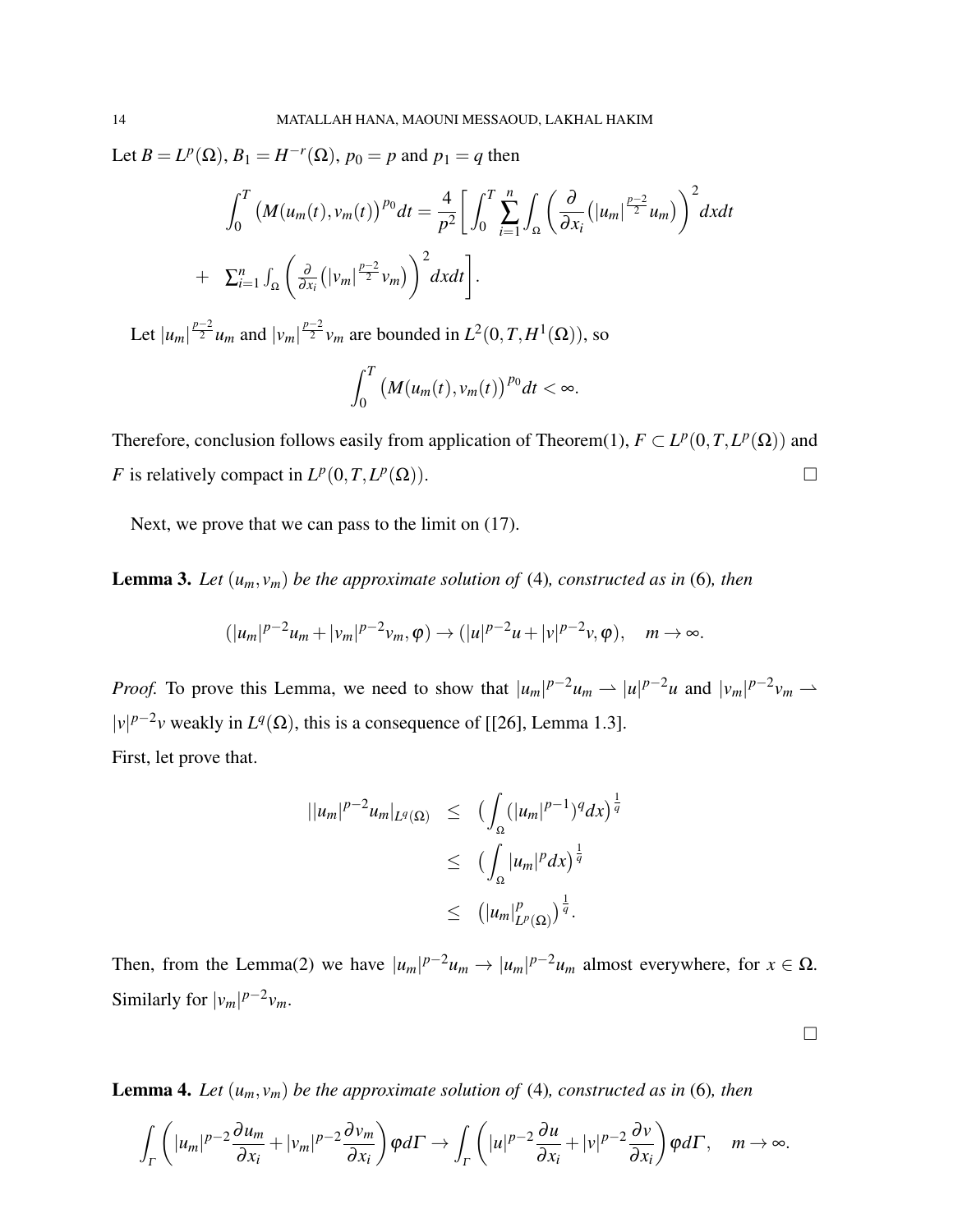Let  $B = L^p(\Omega)$ ,  $B_1 = H^{-r}(\Omega)$ ,  $p_0 = p$  and  $p_1 = q$  then

$$
\int_0^T \left( M(u_m(t), v_m(t))^{p_0} dt = \frac{4}{p^2} \left[ \int_0^T \sum_{i=1}^n \int_{\Omega} \left( \frac{\partial}{\partial x_i} (|u_m|^\frac{p-2}{2} u_m) \right)^2 dx dt \right. \\
\left. + \sum_{i=1}^n \int_{\Omega} \left( \frac{\partial}{\partial x_i} (|v_m|^\frac{p-2}{2} v_m) \right)^2 dx dt \right].
$$

Let  $|u_m| \frac{p-2}{2} u_m$  and  $|v_m| \frac{p-2}{2} v_m$  are bounded in  $L^2(0,T,H^1(\Omega))$ , so

$$
\int_0^T \big(M(u_m(t),v_m(t)\big)^{p_0}dt < \infty.
$$

Therefore, conclusion follows easily from application of Theorem[\(1\)](#page-12-0),  $F \subset L^p(0,T,L^p(\Omega))$  and *F* is relatively compact in  $L^p(0,T,L^p)$  $(\Omega)$ ).

Next, we prove that we can pass to the limit on [\(17\)](#page-8-1).

**Lemma 3.** Let  $(u_m, v_m)$  be the approximate solution of [\(4\)](#page-2-0), constructed as in [\(6\)](#page-4-1), then

$$
(|u_m|^{p-2}u_m+|v_m|^{p-2}v_m,\varphi)\to (|u|^{p-2}u+|v|^{p-2}v,\varphi),\quad m\to\infty.
$$

*Proof.* To prove this Lemma, we need to show that  $|u_m|^{p-2}u_m \rightharpoonup |u|^{p-2}u$  and  $|v_m|^{p-2}v_m \rightharpoonup$  $|v|^{p-2}v$  weakly in  $L^q(\Omega)$ , this is a consequence of [[\[26\]](#page-17-13), Lemma 1.3]. First, let prove that.

$$
\begin{array}{rcl}\n||u_m|^{p-2}u_m|_{L^q(\Omega)} & \leq & \left(\int_{\Omega} (|u_m|^{p-1})^q dx\right)^{\frac{1}{q}} \\
& \leq & \left(\int_{\Omega} |u_m|^p dx\right)^{\frac{1}{q}} \\
& \leq & \left(|u_m|_{L^p(\Omega)}^p\right)^{\frac{1}{q}}.\n\end{array}
$$

Then, from the Lemma[\(2\)](#page-12-1) we have  $|u_m|^{p-2}u_m \to |u_m|^{p-2}u_m$  almost everywhere, for  $x \in \Omega$ . Similarly for  $|v_m|^{p-2}v_m$ .

<span id="page-13-0"></span>**Lemma 4.** Let  $(u_m, v_m)$  be the approximate solution of [\(4\)](#page-2-0), constructed as in [\(6\)](#page-4-1), then

$$
\int_{\Gamma}\left(|u_m|^{p-2}\frac{\partial u_m}{\partial x_i}+|v_m|^{p-2}\frac{\partial v_m}{\partial x_i}\right)\varphi d\Gamma\to \int_{\Gamma}\left(|u|^{p-2}\frac{\partial u}{\partial x_i}+|v|^{p-2}\frac{\partial v}{\partial x_i}\right)\varphi d\Gamma,\quad m\to\infty.
$$

 $\Box$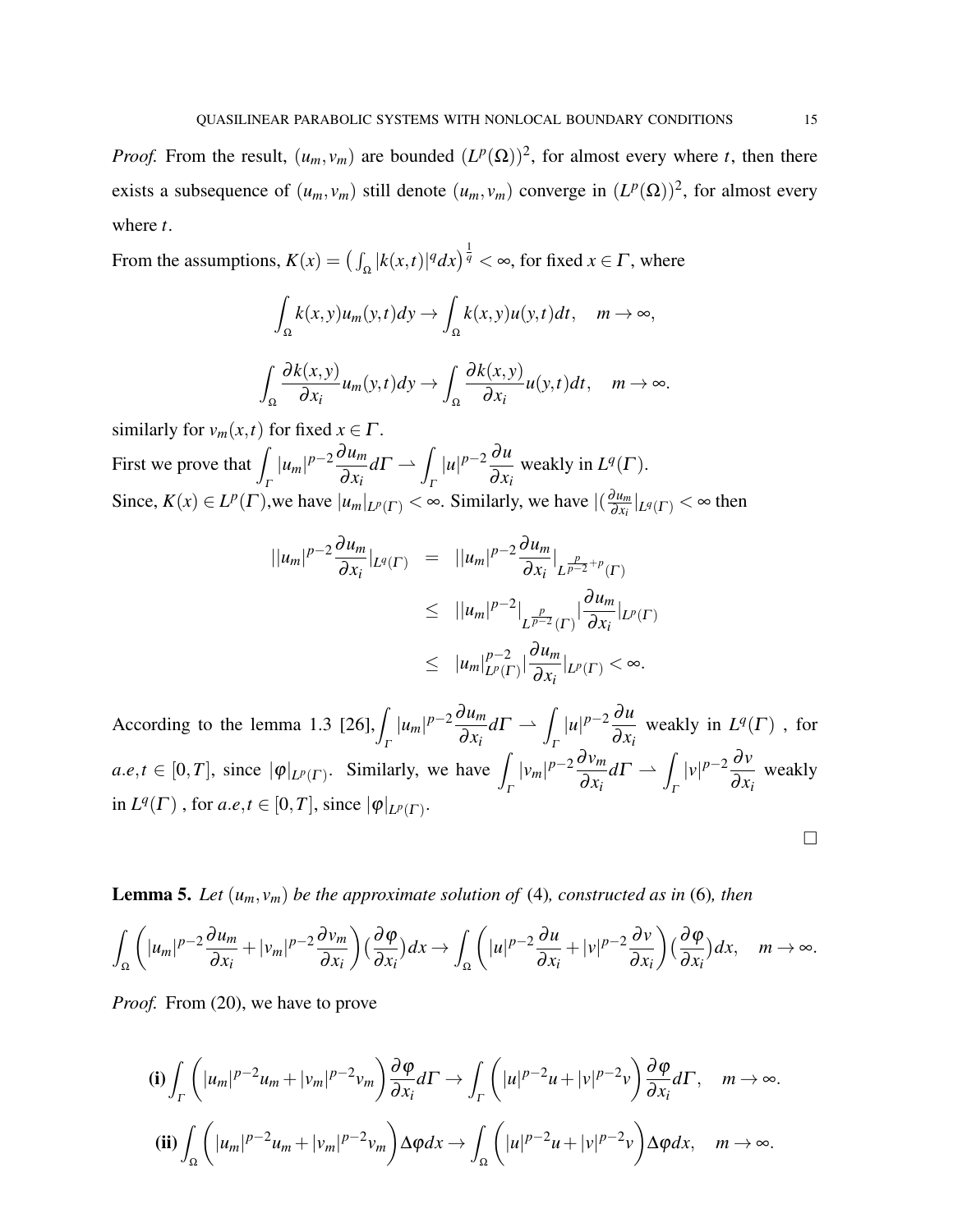*Proof.* From the result,  $(u_m, v_m)$  are bounded  $(L^p(\Omega))^2$ , for almost every where *t*, then there exists a subsequence of  $(u_m, v_m)$  still denote  $(u_m, v_m)$  converge in  $(L^p(\Omega))^2$ , for almost every where *t*.

From the assumptions,  $K(x) = \left(\int_{\Omega} |k(x,t)|^q dx\right)^{\frac{1}{q}} < \infty$ , for fixed  $x \in \Gamma$ , where

$$
\int_{\Omega} k(x, y)u_m(y, t)dy \to \int_{\Omega} k(x, y)u(y, t)dt, \quad m \to \infty,
$$
  

$$
\int_{\Omega} \frac{\partial k(x, y)}{\partial x_i} u_m(y, t)dy \to \int_{\Omega} \frac{\partial k(x, y)}{\partial x_i} u(y, t)dt, \quad m \to \infty.
$$

similarly for  $v_m(x,t)$  for fixed  $x \in \Gamma$ . First we prove that  $\overline{I}$ Γ  $|u_m|^{p-2} \frac{\partial u_m}{\partial x}$ ∂ *x<sup>i</sup>*  $d\Gamma \rightharpoonup$ Γ  $|u|^{p-2}$  ∂*u*  $\partial x_i$ weakly in  $L^q(\Gamma)$ . Since,  $K(x) \in L^p(\Gamma)$ , we have  $|u_m|_{L^p(\Gamma)} < \infty$ . Similarly, we have  $|(\frac{\partial u_m}{\partial x_i})|$  $\frac{\partial u_m}{\partial x_i}|_{L^q(\Gamma)} < \infty$  then

$$
\|u_m|^{p-2}\frac{\partial u_m}{\partial x_i}|_{L^q(\Gamma)} = \|u_m|^{p-2}\frac{\partial u_m}{\partial x_i}|_{L^{\frac{p}{p-2}+p}(\Gamma)}
$$
  
\n
$$
\leq \|u_m|^{p-2}\Big|_{L^{\frac{p}{p-2}}(\Gamma)}\Big|\frac{\partial u_m}{\partial x_i}|_{L^p(\Gamma)}
$$
  
\n
$$
\leq |u_m|_{L^p(\Gamma)}^{p-2}\Big|\frac{\partial u_m}{\partial x_i}|_{L^p(\Gamma)} < \infty.
$$

According to the lemma 1.3 [\[26\]](#page-17-13),  $\int |u_m|^{p-2} \frac{\partial u_m}{\partial x_m}$ Γ Γ  $\partial x_i$  $d\Gamma \rightharpoonup \int |u|^{p-2} \frac{\partial u}{\partial x}$  $\partial x_i$ weakly in  $L^q(\Gamma)$ , for  $a.e, t \in [0, T]$ , since  $|\varphi|_{L^p(\Gamma)}$ . Similarly, we have Γ  $|v_m|^{p-2} \frac{\partial v_m}{\partial x}$  $\partial x_i$  $d\Gamma \rightharpoonup$ Γ  $|v|^{p-2} \frac{\partial v}{\partial x}$  $\frac{\partial^2 f}{\partial x_i}$  weakly  $\text{in } L^q(\Gamma)$ , for  $a.e, t \in [0, T]$ , since  $|\varphi|_{L^p(\Gamma)}$ .

**Lemma 5.** Let  $(u_m, v_m)$  be the approximate solution of [\(4\)](#page-2-0), constructed as in [\(6\)](#page-4-1), then

$$
\int_{\Omega} \left( |u_m|^{p-2} \frac{\partial u_m}{\partial x_i} + |v_m|^{p-2} \frac{\partial v_m}{\partial x_i} \right) \left( \frac{\partial \varphi}{\partial x_i} \right) dx \to \int_{\Omega} \left( |u|^{p-2} \frac{\partial u}{\partial x_i} + |v|^{p-2} \frac{\partial v}{\partial x_i} \right) \left( \frac{\partial \varphi}{\partial x_i} \right) dx, \quad m \to \infty.
$$

*Proof.* From [\(20\)](#page-10-2), we have to prove

$$
\textbf{(i)} \int_{\Gamma} \left( |u_m|^{p-2} u_m + |v_m|^{p-2} v_m \right) \frac{\partial \varphi}{\partial x_i} d\Gamma \to \int_{\Gamma} \left( |u|^{p-2} u + |v|^{p-2} v \right) \frac{\partial \varphi}{\partial x_i} d\Gamma, \quad m \to \infty.
$$
\n
$$
\textbf{(ii)} \int_{\Omega} \left( |u_m|^{p-2} u_m + |v_m|^{p-2} v_m \right) \Delta \varphi dx \to \int_{\Omega} \left( |u|^{p-2} u + |v|^{p-2} v \right) \Delta \varphi dx, \quad m \to \infty.
$$

 $\Box$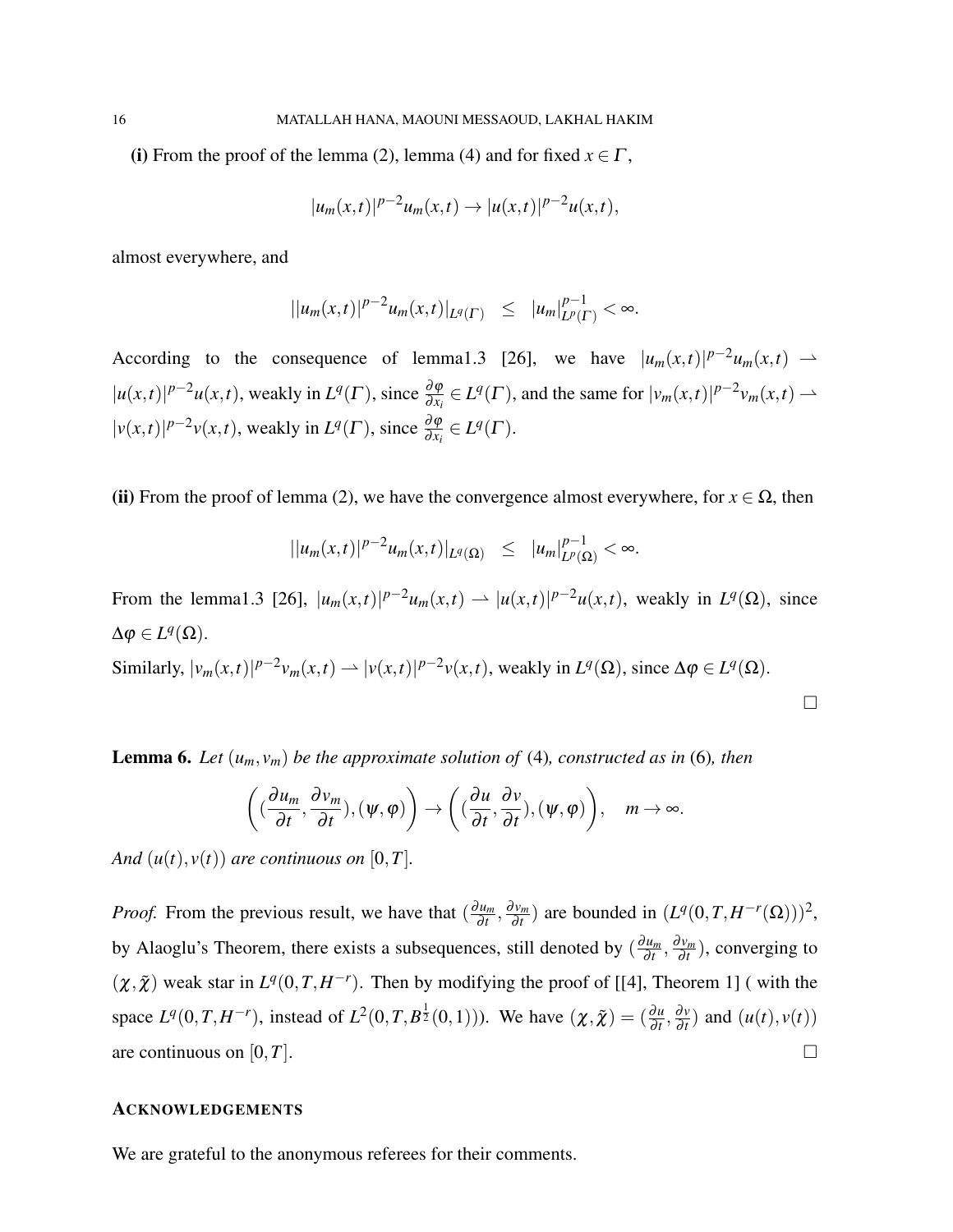(i) From the proof of the lemma [\(2\)](#page-12-1), lemma [\(4\)](#page-13-0) and for fixed  $x \in \Gamma$ ,

$$
|u_m(x,t)|^{p-2}u_m(x,t) \to |u(x,t)|^{p-2}u(x,t),
$$

almost everywhere, and

$$
||u_m(x,t)|^{p-2}u_m(x,t)|_{L^q(\Gamma)} \leq |u_m|_{L^p(\Gamma)}^{p-1} < \infty.
$$

According to the consequence of lemma1.3 [\[26\]](#page-17-13), we have  $|u_m(x,t)|^{p-2}u_m(x,t)$   $\rightarrow$  $|u(x,t)|^{p-2}u(x,t)$ , weakly in  $L^q(\Gamma)$ , since  $\frac{\partial \varphi}{\partial x_i} \in L^q(\Gamma)$ , and the same for  $|v_m(x,t)|^{p-2}v_m(x,t) \to$  $|v(x,t)|^{p-2}v(x,t)$ , weakly in  $L^q(\Gamma)$ , since  $\frac{\partial \varphi}{\partial x_i} \in L^q(\Gamma)$ .

(ii) From the proof of lemma [\(2\)](#page-12-1), we have the convergence almost everywhere, for  $x \in \Omega$ , then

$$
||u_m(x,t)|^{p-2}u_m(x,t)|_{L^q(\Omega)} \leq |u_m|_{L^p(\Omega)}^{p-1} < \infty.
$$

From the lemma1.3 [\[26\]](#page-17-13),  $|u_m(x,t)|^{p-2}u_m(x,t) \to |u(x,t)|^{p-2}u(x,t)$ , weakly in  $L^q(\Omega)$ , since  $\Delta \varphi \in L^q(\Omega)$ .

Similarly,  $|v_m(x,t)|^{p-2}v_m(x,t) \rightharpoonup |v(x,t)|^{p-2}v(x,t)$ , weakly in  $L^q(\Omega)$ , since  $\Delta \varphi \in L^q(\Omega)$ .

 $\Box$ 

**Lemma 6.** Let  $(u_m, v_m)$  be the approximate solution of [\(4\)](#page-2-0), constructed as in [\(6\)](#page-4-1), then

$$
\left((\frac{\partial u_m}{\partial t},\frac{\partial v_m}{\partial t}),(\psi,\varphi)\right)\to \left((\frac{\partial u}{\partial t},\frac{\partial v}{\partial t}),(\psi,\varphi)\right), \quad m\to\infty.
$$

*And*  $(u(t), v(t))$  *are continuous on* [0,*T*].

*Proof.* From the previous result, we have that  $\left(\frac{\partial u_m}{\partial t}\right)$  $\frac{\partial u_m}{\partial t}, \frac{\partial v_m}{\partial t}$  $\frac{\partial v_m}{\partial t}$  are bounded in  $(L^q(0,T,H^{-r}(\Omega)))^2$ , by Alaoglu's Theorem, there exists a subsequences, still denoted by  $\left(\frac{\partial u_m}{\partial t}\right)$  $\frac{\partial u_m}{\partial t}, \frac{\partial v_m}{\partial t}$  $\frac{\partial v_m}{\partial t}$ ), converging to  $(\chi, \tilde{\chi})$  weak star in  $L^q(0,T,H^{-r})$ . Then by modifying the proof of [[\[4\]](#page-16-7), Theorem 1] (with the space  $L^q(0,T,H^{-r})$ , instead of  $L^2(0,T,B^{\frac{1}{2}}(0,1))$ ). We have  $(\chi,\tilde{\chi}) = (\frac{\partial u}{\partial t},\frac{\partial v}{\partial t})$  $\frac{\partial v}{\partial t}$  and  $(u(t), v(t))$ are continuous on  $[0, T]$ .

#### ACKNOWLEDGEMENTS

We are grateful to the anonymous referees for their comments.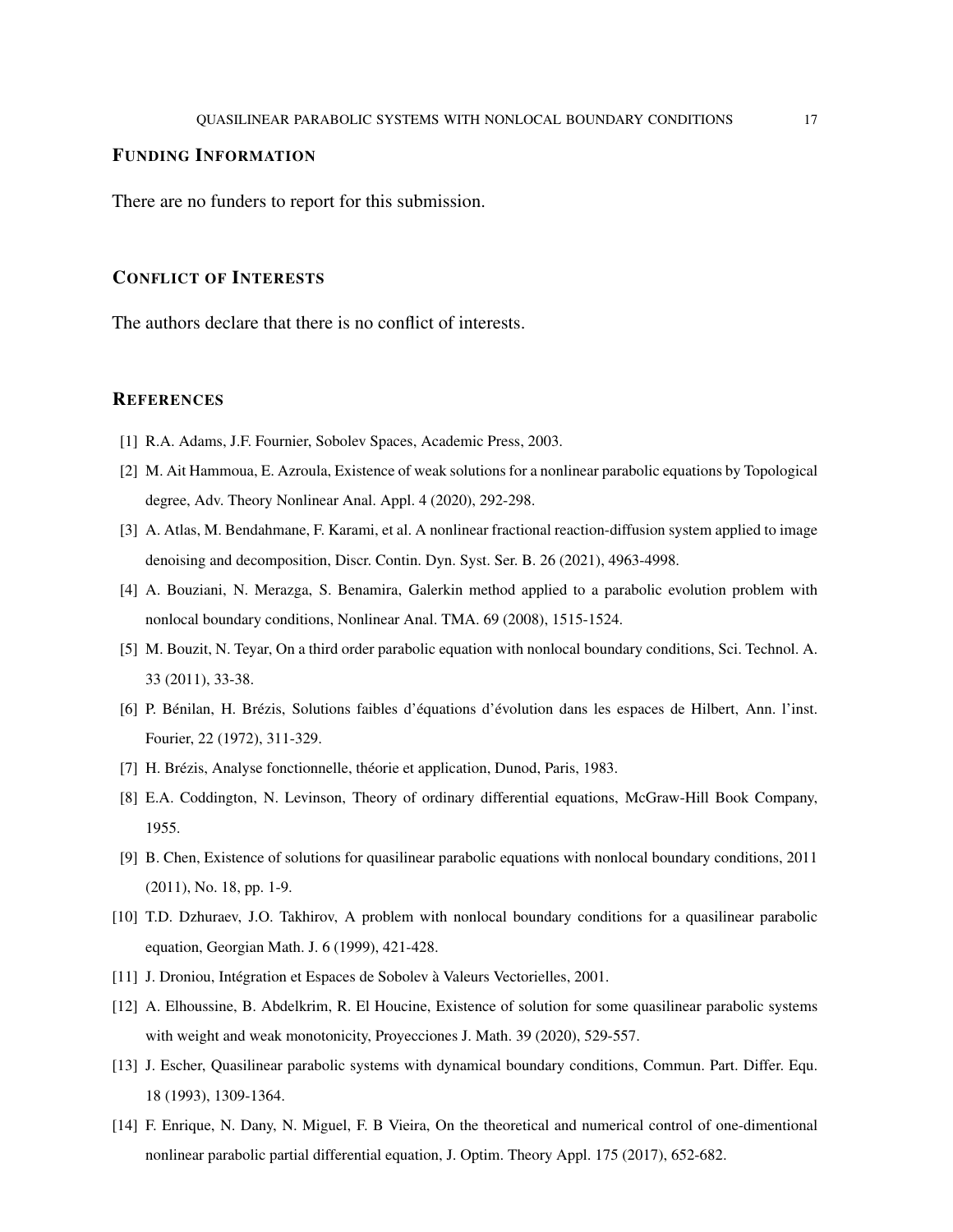### FUNDING INFORMATION

There are no funders to report for this submission.

#### CONFLICT OF INTERESTS

The authors declare that there is no conflict of interests.

#### **REFERENCES**

- <span id="page-16-5"></span>[1] R.A. Adams, J.F. Fournier, Sobolev Spaces, Academic Press, 2003.
- [2] M. Ait Hammoua, E. Azroula, Existence of weak solutions for a nonlinear parabolic equations by Topological degree, Adv. Theory Nonlinear Anal. Appl. 4 (2020), 292-298.
- <span id="page-16-6"></span>[3] A. Atlas, M. Bendahmane, F. Karami, et al. A nonlinear fractional reaction-diffusion system applied to image denoising and decomposition, Discr. Contin. Dyn. Syst. Ser. B. 26 (2021), 4963-4998.
- <span id="page-16-7"></span>[4] A. Bouziani, N. Merazga, S. Benamira, Galerkin method applied to a parabolic evolution problem with nonlocal boundary conditions, Nonlinear Anal. TMA. 69 (2008), 1515-1524.
- <span id="page-16-0"></span>[5] M. Bouzit, N. Teyar, On a third order parabolic equation with nonlocal boundary conditions, Sci. Technol. A. 33 (2011), 33-38.
- [6] P. Bénilan, H. Brézis, Solutions faibles d'équations d'évolution dans les espaces de Hilbert, Ann. l'inst. Fourier, 22 (1972), 311-329.
- [7] H. Brézis, Analyse fonctionnelle, théorie et application, Dunod, Paris, 1983.
- <span id="page-16-10"></span>[8] E.A. Coddington, N. Levinson, Theory of ordinary differential equations, McGraw-Hill Book Company, 1955.
- <span id="page-16-8"></span>[9] B. Chen, Existence of solutions for quasilinear parabolic equations with nonlocal boundary conditions, 2011 (2011), No. 18, pp. 1-9.
- <span id="page-16-9"></span>[10] T.D. Dzhuraev, J.O. Takhirov, A problem with nonlocal boundary conditions for a quasilinear parabolic equation, Georgian Math. J. 6 (1999), 421-428.
- <span id="page-16-4"></span><span id="page-16-2"></span>[11] J. Droniou, Intégration et Espaces de Sobolev à Valeurs Vectorielles, 2001.
- [12] A. Elhoussine, B. Abdelkrim, R. El Houcine, Existence of solution for some quasilinear parabolic systems with weight and weak monotonicity, Proyecciones J. Math. 39 (2020), 529-557.
- <span id="page-16-3"></span>[13] J. Escher, Quasilinear parabolic systems with dynamical boundary conditions, Commun. Part. Differ. Equ. 18 (1993), 1309-1364.
- <span id="page-16-1"></span>[14] F. Enrique, N. Dany, N. Miguel, F. B Vieira, On the theoretical and numerical control of one-dimentional nonlinear parabolic partial differential equation, J. Optim. Theory Appl. 175 (2017), 652-682.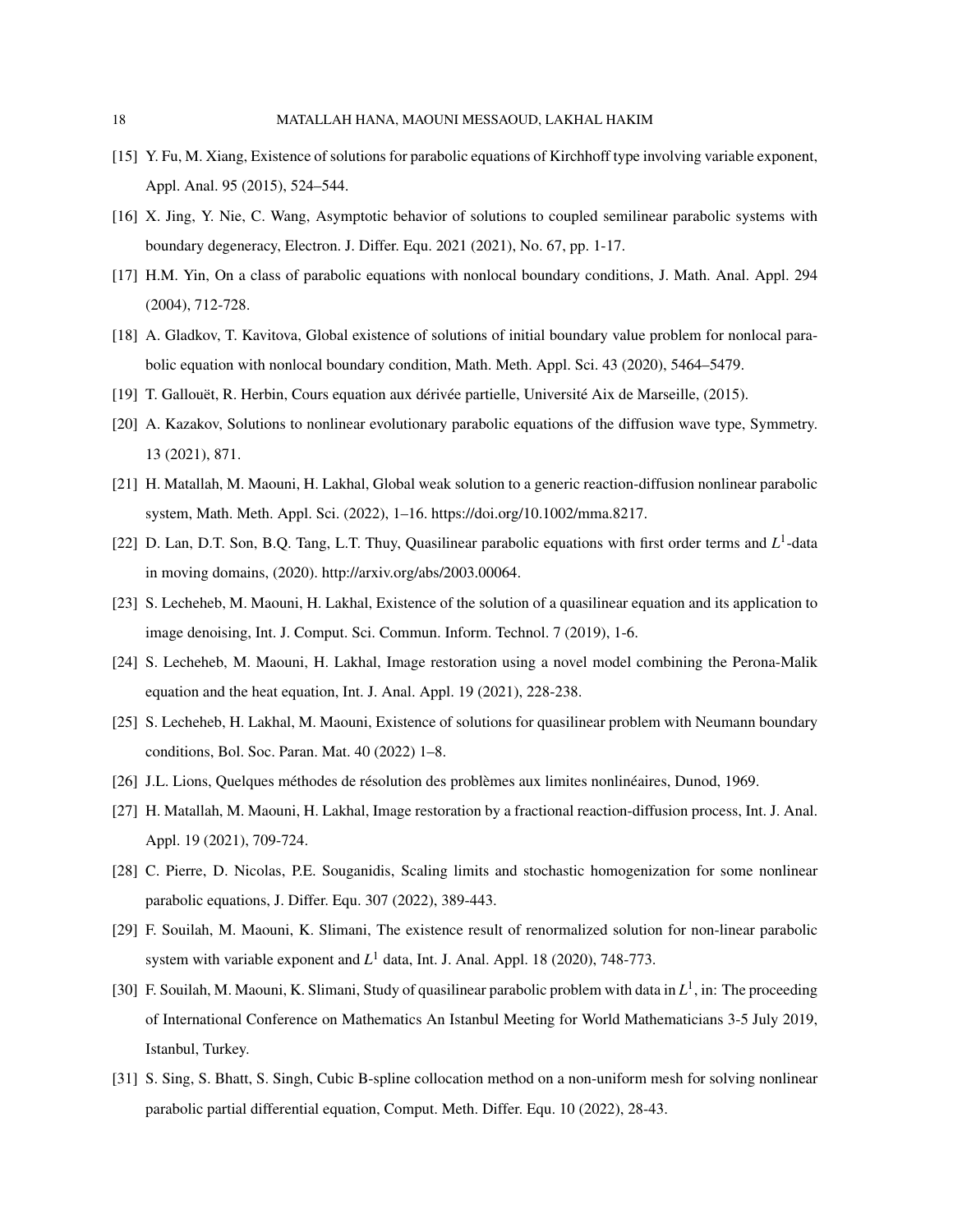- <span id="page-17-5"></span>[15] Y. Fu, M. Xiang, Existence of solutions for parabolic equations of Kirchhoff type involving variable exponent, Appl. Anal. 95 (2015), 524–544.
- [16] X. Jing, Y. Nie, C. Wang, Asymptotic behavior of solutions to coupled semilinear parabolic systems with boundary degeneracy, Electron. J. Differ. Equ. 2021 (2021), No. 67, pp. 1-17.
- <span id="page-17-11"></span>[17] H.M. Yin, On a class of parabolic equations with nonlocal boundary conditions, J. Math. Anal. Appl. 294 (2004), 712-728.
- <span id="page-17-12"></span>[18] A. Gladkov, T. Kavitova, Global existence of solutions of initial boundary value problem for nonlocal parabolic equation with nonlocal boundary condition, Math. Meth. Appl. Sci. 43 (2020), 5464–5479.
- <span id="page-17-4"></span>[19] T. Gallouët, R. Herbin, Cours equation aux dérivée partielle, Université Aix de Marseille, (2015).
- [20] A. Kazakov, Solutions to nonlinear evolutionary parabolic equations of the diffusion wave type, Symmetry. 13 (2021), 871.
- <span id="page-17-8"></span>[21] H. Matallah, M. Maouni, H. Lakhal, Global weak solution to a generic reaction-diffusion nonlinear parabolic system, Math. Meth. Appl. Sci. (2022), 1–16. [https://doi.org/10.1002/mma.8217.](https://doi.org/10.1002/mma.8217)
- [22] D. Lan, D.T. Son, B.Q. Tang, L.T. Thuy, Quasilinear parabolic equations with first order terms and L<sup>1</sup>-data in moving domains, (2020). [http://arxiv.org/abs/2003.00064.](http://arxiv.org/abs/2003.00064)
- <span id="page-17-3"></span>[23] S. Lecheheb, M. Maouni, H. Lakhal, Existence of the solution of a quasilinear equation and its application to image denoising, Int. J. Comput. Sci. Commun. Inform. Technol. 7 (2019), 1-6.
- <span id="page-17-6"></span>[24] S. Lecheheb, M. Maouni, H. Lakhal, Image restoration using a novel model combining the Perona-Malik equation and the heat equation, Int. J. Anal. Appl. 19 (2021), 228-238.
- <span id="page-17-7"></span>[25] S. Lecheheb, H. Lakhal, M. Maouni, Existence of solutions for quasilinear problem with Neumann boundary conditions, Bol. Soc. Paran. Mat. 40 (2022) 1–8.
- <span id="page-17-13"></span><span id="page-17-9"></span>[26] J.L. Lions, Quelques méthodes de résolution des problèmes aux limites nonlinéaires, Dunod, 1969.
- [27] H. Matallah, M. Maouni, H. Lakhal, Image restoration by a fractional reaction-diffusion process, Int. J. Anal. Appl. 19 (2021), 709-724.
- <span id="page-17-2"></span>[28] C. Pierre, D. Nicolas, P.E. Souganidis, Scaling limits and stochastic homogenization for some nonlinear parabolic equations, J. Differ. Equ. 307 (2022), 389-443.
- <span id="page-17-0"></span>[29] F. Souilah, M. Maouni, K. Slimani, The existence result of renormalized solution for non-linear parabolic system with variable exponent and  $L^1$  data, Int. J. Anal. Appl. 18 (2020), 748-773.
- <span id="page-17-10"></span>[30] F. Souilah, M. Maouni, K. Slimani, Study of quasilinear parabolic problem with data in  $L^1$ , in: The proceeding of International Conference on Mathematics An Istanbul Meeting for World Mathematicians 3-5 July 2019, Istanbul, Turkey.
- <span id="page-17-1"></span>[31] S. Sing, S. Bhatt, S. Singh, Cubic B-spline collocation method on a non-uniform mesh for solving nonlinear parabolic partial differential equation, Comput. Meth. Differ. Equ. 10 (2022), 28-43.